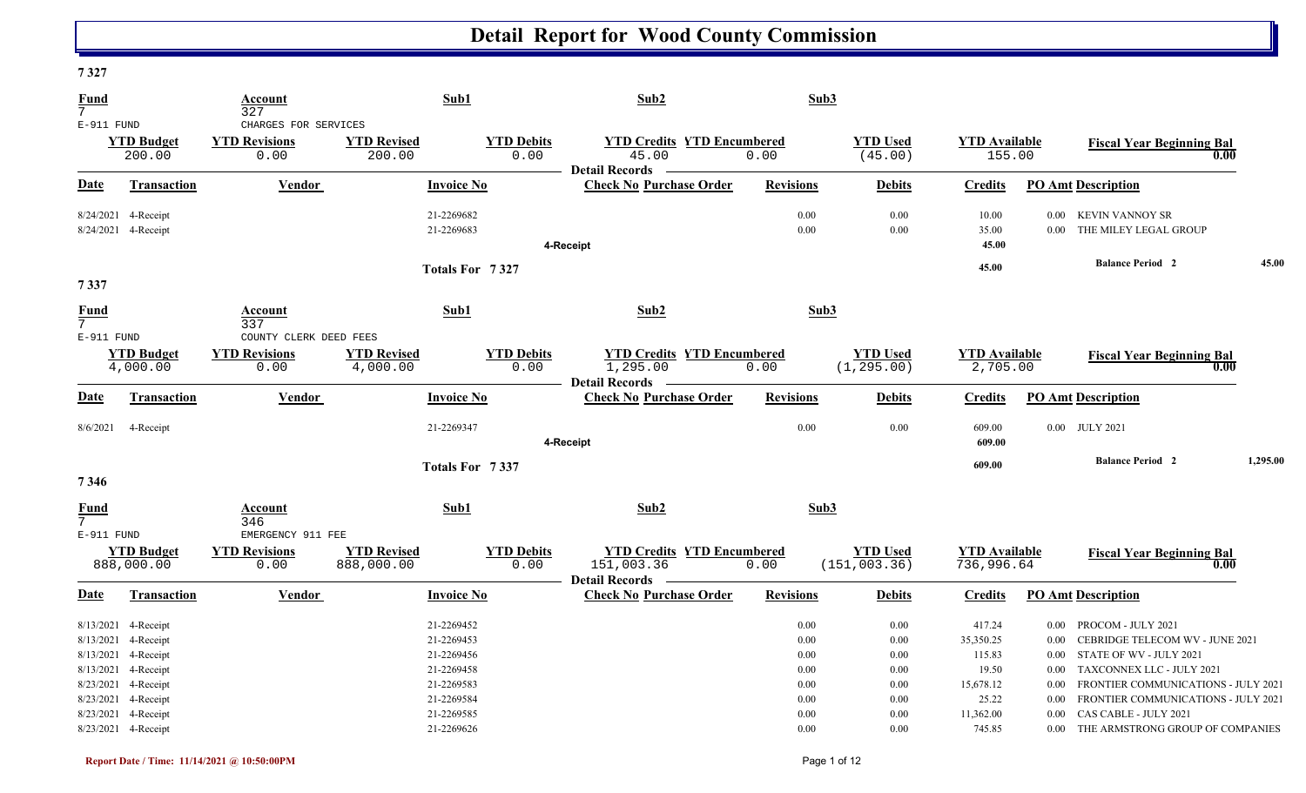| 1341                              |                                                                                                                 |                                                        |                                  |                                                                    |                                                                       |                                              |                                      |                                                     |                                                          |                                                                                                                                                      |          |
|-----------------------------------|-----------------------------------------------------------------------------------------------------------------|--------------------------------------------------------|----------------------------------|--------------------------------------------------------------------|-----------------------------------------------------------------------|----------------------------------------------|--------------------------------------|-----------------------------------------------------|----------------------------------------------------------|------------------------------------------------------------------------------------------------------------------------------------------------------|----------|
| <b>Fund</b><br>7 <sup>1</sup>     |                                                                                                                 | Account<br>327                                         |                                  | Sub1                                                               | Sub2                                                                  | Sub3                                         |                                      |                                                     |                                                          |                                                                                                                                                      |          |
| E-911 FUND                        |                                                                                                                 | CHARGES FOR SERVICES                                   |                                  |                                                                    |                                                                       |                                              |                                      |                                                     |                                                          |                                                                                                                                                      |          |
|                                   | <b>YTD Budget</b><br>200.00                                                                                     | <b>YTD Revisions</b><br>0.00                           | <b>YTD Revised</b><br>200.00     | <b>YTD Debits</b><br>0.00                                          | <b>YTD Credits YTD Encumbered</b><br>45.00                            | 0.00                                         | <b>YTD Used</b><br>(45.00)           | <b>YTD Available</b><br>155.00                      |                                                          | <b>Fiscal Year Beginning Bal</b><br>0.00                                                                                                             |          |
| Date                              | <b>Transaction</b>                                                                                              | Vendor                                                 |                                  | <b>Invoice No</b>                                                  | <b>Detail Records</b><br><b>Check No Purchase Order</b>               | <b>Revisions</b>                             | <b>Debits</b>                        | <b>Credits</b>                                      | <b>PO Amt Description</b>                                |                                                                                                                                                      |          |
|                                   | 8/24/2021 4-Receipt<br>8/24/2021 4-Receipt                                                                      |                                                        |                                  | 21-2269682<br>21-2269683                                           |                                                                       | 0.00<br>0.00                                 | 0.00<br>0.00                         | 10.00<br>35.00                                      | $0.00\,$<br>$0.00\,$                                     | KEVIN VANNOY SR<br>THE MILEY LEGAL GROUP                                                                                                             |          |
| 7337                              |                                                                                                                 |                                                        |                                  | Totals For 7327                                                    | 4-Receipt                                                             |                                              |                                      | 45.00<br>45.00                                      |                                                          | <b>Balance Period 2</b>                                                                                                                              | 45.00    |
| <b>Fund</b><br>$7^{\circ}$        |                                                                                                                 | Account<br>337                                         |                                  | Sub1                                                               | Sub2                                                                  | Sub3                                         |                                      |                                                     |                                                          |                                                                                                                                                      |          |
| E-911 FUND                        | <b>YTD Budget</b><br>4,000.00                                                                                   | COUNTY CLERK DEED FEES<br><b>YTD Revisions</b><br>0.00 | <b>YTD Revised</b><br>4,000.00   | <b>YTD Debits</b><br>0.00                                          | <b>YTD Credits YTD Encumbered</b><br>1,295.00                         | 0.00                                         | <b>YTD</b> Used<br>(1, 295.00)       | <b>YTD Available</b><br>2,705.00                    |                                                          | <b>Fiscal Year Beginning Bal</b><br>0.00                                                                                                             |          |
| <u>Date</u>                       | Transaction                                                                                                     | Vendor                                                 |                                  | <b>Invoice No</b>                                                  | <b>Detail Records</b><br><b>Check No Purchase Order</b>               | <b>Revisions</b>                             | <b>Debits</b>                        | <b>Credits</b>                                      | <b>PO Amt Description</b>                                |                                                                                                                                                      |          |
| 8/6/2021                          | 4-Receipt                                                                                                       |                                                        |                                  | 21-2269347                                                         | 4-Receipt                                                             | 0.00                                         | 0.00                                 | 609.00<br>609.00                                    | 0.00 JULY 2021                                           |                                                                                                                                                      |          |
| 7346                              |                                                                                                                 |                                                        |                                  | Totals For 7337                                                    |                                                                       |                                              |                                      | 609.00                                              |                                                          | <b>Balance Period 2</b>                                                                                                                              | 1,295.00 |
| Fund<br>$7^{\circ}$<br>E-911 FUND |                                                                                                                 | Account<br>346<br>EMERGENCY 911 FEE                    |                                  | Sub1                                                               | Sub2                                                                  | Sub3                                         |                                      |                                                     |                                                          |                                                                                                                                                      |          |
|                                   | <b>YTD Budget</b><br>888,000.00                                                                                 | <b>YTD Revisions</b><br>0.00                           | <b>YTD Revised</b><br>888,000.00 | <b>YTD Debits</b><br>0.00                                          | <b>YTD Credits YTD Encumbered</b><br>151,003.36<br>- Detail Records - | 0.00                                         | <b>YTD</b> Used<br>(151, 003.36)     | <b>YTD Available</b><br>736,996.64                  |                                                          | <b>Fiscal Year Beginning Bal</b><br>0.00                                                                                                             |          |
| Date                              | <b>Transaction</b>                                                                                              | <b>Vendor</b>                                          |                                  | <b>Invoice No</b>                                                  | <b>Check No Purchase Order</b>                                        | <b>Revisions</b>                             | <b>Debits</b>                        | <b>Credits</b>                                      | <b>PO Amt Description</b>                                |                                                                                                                                                      |          |
|                                   | 8/13/2021 4-Receipt<br>8/13/2021 4-Receipt<br>8/13/2021 4-Receipt<br>8/13/2021 4-Receipt<br>8/23/2021 4-Receipt |                                                        |                                  | 21-2269452<br>21-2269453<br>21-2269456<br>21-2269458<br>21-2269583 |                                                                       | 0.00<br>0.00<br>$0.00\,$<br>$0.00\,$<br>0.00 | 0.00<br>0.00<br>0.00<br>0.00<br>0.00 | 417.24<br>35,350.25<br>115.83<br>19.50<br>15,678.12 | $0.00\,$<br>$0.00\,$<br>$0.00\,$<br>$0.00\,$<br>$0.00\,$ | PROCOM - JULY 2021<br>CEBRIDGE TELECOM WV - JUNE 2021<br>STATE OF WV - JULY 2021<br>TAXCONNEX LLC - JULY 2021<br>FRONTIER COMMUNICATIONS - JULY 2021 |          |
| 8/23/2021                         | 8/23/2021 4-Receipt<br>4-Receipt<br>8/23/2021 4-Receipt                                                         |                                                        |                                  | 21-2269584<br>21-2269585<br>21-2269626                             |                                                                       | 0.00<br>0.00<br>0.00                         | 0.00<br>0.00<br>0.00                 | 25.22<br>11,362.00<br>745.85                        | $0.00\,$<br>0.00                                         | FRONTIER COMMUNICATIONS - JULY 2021<br>CAS CABLE - JULY 2021<br>0.00 THE ARMSTRONG GROUP OF COMPANIES                                                |          |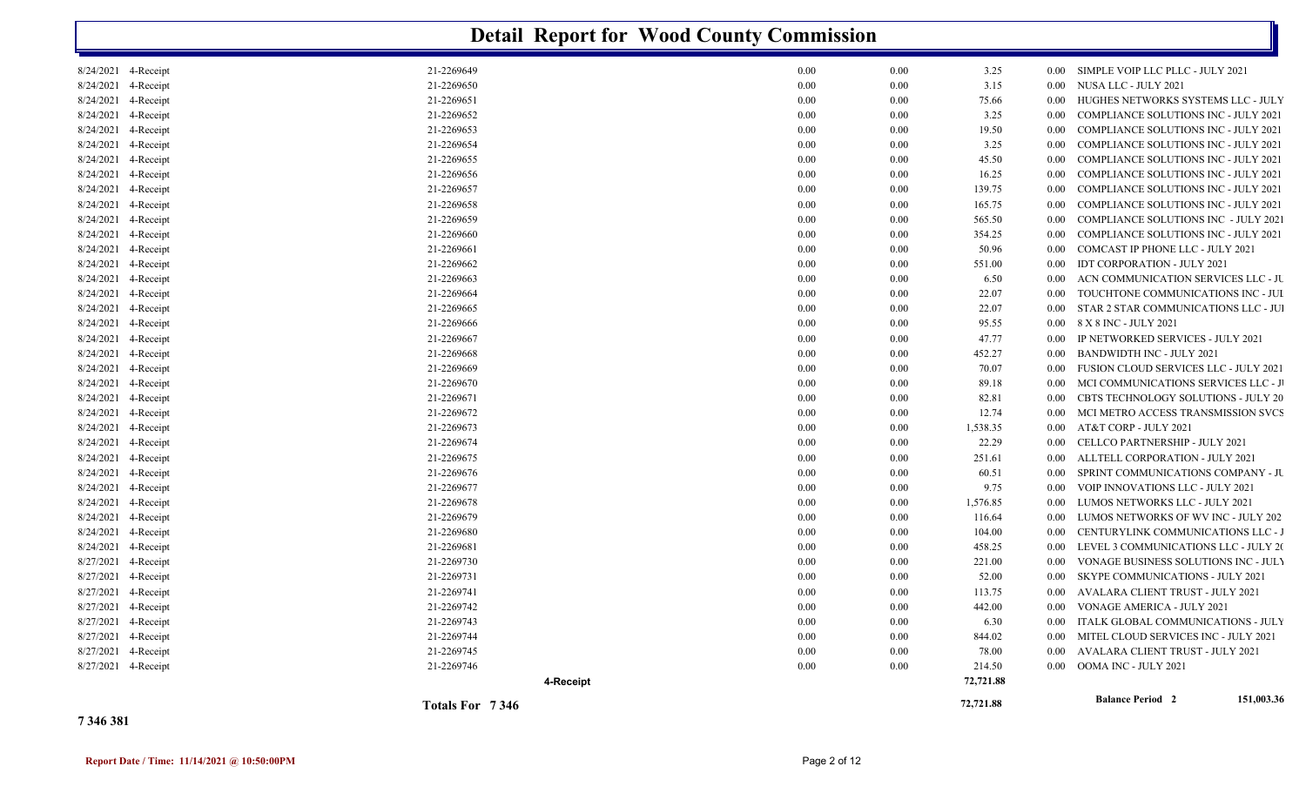|                        | <b>Detail Report for Wood County Commission</b> |      |          |           |          |                                              |  |  |  |  |  |
|------------------------|-------------------------------------------------|------|----------|-----------|----------|----------------------------------------------|--|--|--|--|--|
| 8/24/2021 4-Receipt    | 21-2269649                                      | 0.00 | 0.00     | 3.25      | $0.00\,$ | SIMPLE VOIP LLC PLLC - JULY 2021             |  |  |  |  |  |
| 8/24/2021 4-Receipt    | 21-2269650                                      | 0.00 | 0.00     | 3.15      | $0.00\,$ | NUSA LLC - JULY 2021                         |  |  |  |  |  |
| 8/24/2021<br>4-Receipt | 21-2269651                                      | 0.00 | 0.00     | 75.66     | 0.00     | HUGHES NETWORKS SYSTEMS LLC - JULY           |  |  |  |  |  |
| 8/24/2021<br>4-Receipt | 21-2269652                                      | 0.00 | 0.00     | 3.25      | 0.00     | <b>COMPLIANCE SOLUTIONS INC - JULY 2021</b>  |  |  |  |  |  |
| 8/24/2021<br>4-Receipt | 21-2269653                                      | 0.00 | 0.00     | 19.50     | 0.00     | <b>COMPLIANCE SOLUTIONS INC - JULY 2021</b>  |  |  |  |  |  |
| 8/24/2021<br>4-Receipt | 21-2269654                                      | 0.00 | 0.00     | 3.25      | 0.00     | <b>COMPLIANCE SOLUTIONS INC - JULY 2021</b>  |  |  |  |  |  |
| 8/24/2021<br>4-Receipt | 21-2269655                                      | 0.00 | 0.00     | 45.50     | 0.00     | <b>COMPLIANCE SOLUTIONS INC - JULY 2021</b>  |  |  |  |  |  |
| 8/24/2021 4-Receipt    | 21-2269656                                      | 0.00 | 0.00     | 16.25     | $0.00\,$ | <b>COMPLIANCE SOLUTIONS INC - JULY 2021</b>  |  |  |  |  |  |
| 8/24/2021<br>4-Receipt | 21-2269657                                      | 0.00 | 0.00     | 139.75    | 0.00     | COMPLIANCE SOLUTIONS INC - JULY 2021         |  |  |  |  |  |
| 8/24/2021<br>4-Receipt | 21-2269658                                      | 0.00 | 0.00     | 165.75    | 0.00     | <b>COMPLIANCE SOLUTIONS INC - JULY 2021</b>  |  |  |  |  |  |
| 8/24/2021<br>4-Receipt | 21-2269659                                      | 0.00 | 0.00     | 565.50    | 0.00     | COMPLIANCE SOLUTIONS INC - JULY 2021         |  |  |  |  |  |
| 8/24/2021<br>4-Receipt | 21-2269660                                      | 0.00 | 0.00     | 354.25    | 0.00     | COMPLIANCE SOLUTIONS INC - JULY 2021         |  |  |  |  |  |
| 8/24/2021<br>4-Receipt | 21-2269661                                      | 0.00 | 0.00     | 50.96     | 0.00     | COMCAST IP PHONE LLC - JULY 2021             |  |  |  |  |  |
| 8/24/2021<br>4-Receipt | 21-2269662                                      | 0.00 | 0.00     | 551.00    | 0.00     | <b>IDT CORPORATION - JULY 2021</b>           |  |  |  |  |  |
| 8/24/2021<br>4-Receipt | 21-2269663                                      | 0.00 | 0.00     | 6.50      | 0.00     | ACN COMMUNICATION SERVICES LLC - JU          |  |  |  |  |  |
| 8/24/2021<br>4-Receipt | 21-2269664                                      | 0.00 | 0.00     | 22.07     | 0.00     | TOUCHTONE COMMUNICATIONS INC - JUI           |  |  |  |  |  |
| 8/24/2021<br>4-Receipt | 21-2269665                                      | 0.00 | 0.00     | 22.07     | $0.00\,$ | STAR 2 STAR COMMUNICATIONS LLC - JUI         |  |  |  |  |  |
| 8/24/2021<br>4-Receipt | 21-2269666                                      | 0.00 | 0.00     | 95.55     | $0.00\,$ | 8 X 8 INC - JULY 2021                        |  |  |  |  |  |
| 8/24/2021<br>4-Receipt | 21-2269667                                      | 0.00 | 0.00     | 47.77     | 0.00     | IP NETWORKED SERVICES - JULY 2021            |  |  |  |  |  |
| 8/24/2021<br>4-Receipt | 21-2269668                                      | 0.00 | 0.00     | 452.27    | 0.00     | <b>BANDWIDTH INC - JULY 2021</b>             |  |  |  |  |  |
| 8/24/2021<br>4-Receipt | 21-2269669                                      | 0.00 | 0.00     | 70.07     | 0.00     | <b>FUSION CLOUD SERVICES LLC - JULY 2021</b> |  |  |  |  |  |
| 4-Receipt<br>8/24/2021 | 21-2269670                                      | 0.00 | 0.00     | 89.18     | 0.00     | MCI COMMUNICATIONS SERVICES LLC - J          |  |  |  |  |  |
| 8/24/2021<br>4-Receipt | 21-2269671                                      | 0.00 | 0.00     | 82.81     | 0.00     | <b>CBTS TECHNOLOGY SOLUTIONS - JULY 20</b>   |  |  |  |  |  |
| 8/24/2021<br>4-Receipt | 21-2269672                                      | 0.00 | 0.00     | 12.74     | 0.00     | MCI METRO ACCESS TRANSMISSION SVCS           |  |  |  |  |  |
| 8/24/2021<br>4-Receipt | 21-2269673                                      | 0.00 | 0.00     | 1,538.35  | 0.00     | AT&T CORP - JULY 2021                        |  |  |  |  |  |
| 8/24/2021<br>4-Receipt | 21-2269674                                      | 0.00 | 0.00     | 22.29     | 0.00     | CELLCO PARTNERSHIP - JULY 2021               |  |  |  |  |  |
| 8/24/2021<br>4-Receipt | 21-2269675                                      | 0.00 | 0.00     | 251.61    | 0.00     | ALLTELL CORPORATION - JULY 2021              |  |  |  |  |  |
| 8/24/2021<br>4-Receipt | 21-2269676                                      | 0.00 | 0.00     | 60.51     | 0.00     | SPRINT COMMUNICATIONS COMPANY - JU           |  |  |  |  |  |
| 8/24/2021<br>4-Receipt | 21-2269677                                      | 0.00 | 0.00     | 9.75      | 0.00     | VOIP INNOVATIONS LLC - JULY 2021             |  |  |  |  |  |
| 8/24/2021<br>4-Receipt | 21-2269678                                      | 0.00 | 0.00     | 1,576.85  | 0.00     | LUMOS NETWORKS LLC - JULY 2021               |  |  |  |  |  |
| 8/24/2021<br>4-Receipt | 21-2269679                                      | 0.00 | 0.00     | 116.64    | 0.00     | LUMOS NETWORKS OF WV INC - JULY 202          |  |  |  |  |  |
| 8/24/2021 4-Receipt    | 21-2269680                                      | 0.00 | 0.00     | 104.00    | 0.00     | CENTURYLINK COMMUNICATIONS LLC - J           |  |  |  |  |  |
| 8/24/2021<br>4-Receipt | 21-2269681                                      | 0.00 | 0.00     | 458.25    | 0.00     | LEVEL 3 COMMUNICATIONS LLC - JULY 20         |  |  |  |  |  |
| 8/27/2021<br>4-Receipt | 21-2269730                                      | 0.00 | 0.00     | 221.00    | 0.00     | VONAGE BUSINESS SOLUTIONS INC - JUL'         |  |  |  |  |  |
| 8/27/2021<br>4-Receipt | 21-2269731                                      | 0.00 | 0.00     | 52.00     | 0.00     | <b>SKYPE COMMUNICATIONS - JULY 2021</b>      |  |  |  |  |  |
| 8/27/2021 4-Receipt    | 21-2269741                                      | 0.00 | 0.00     | 113.75    | 0.00     | AVALARA CLIENT TRUST - JULY 2021             |  |  |  |  |  |
| 8/27/2021 4-Receipt    | 21-2269742                                      | 0.00 | 0.00     | 442.00    | $0.00\,$ | VONAGE AMERICA - JULY 2021                   |  |  |  |  |  |
| 8/27/2021 4-Receipt    | 21-2269743                                      | 0.00 | 0.00     | 6.30      | $0.00\,$ | ITALK GLOBAL COMMUNICATIONS - JULY           |  |  |  |  |  |
| 8/27/2021 4-Receipt    | 21-2269744                                      | 0.00 | 0.00     | 844.02    | $0.00\,$ | MITEL CLOUD SERVICES INC - JULY 2021         |  |  |  |  |  |
| 8/27/2021 4-Receipt    | 21-2269745                                      | 0.00 | 0.00     | 78.00     | $0.00\,$ | AVALARA CLIENT TRUST - JULY 2021             |  |  |  |  |  |
| 8/27/2021 4-Receipt    | 21-2269746                                      | 0.00 | $0.00\,$ | 214.50    |          | 0.00 OOMA INC - JULY 2021                    |  |  |  |  |  |
|                        | 4-Receipt                                       |      |          | 72,721.88 |          |                                              |  |  |  |  |  |
|                        | Totals For 7346                                 |      |          | 72,721.88 |          | <b>Balance Period 2</b><br>151,003.36        |  |  |  |  |  |

#### **7 346 381**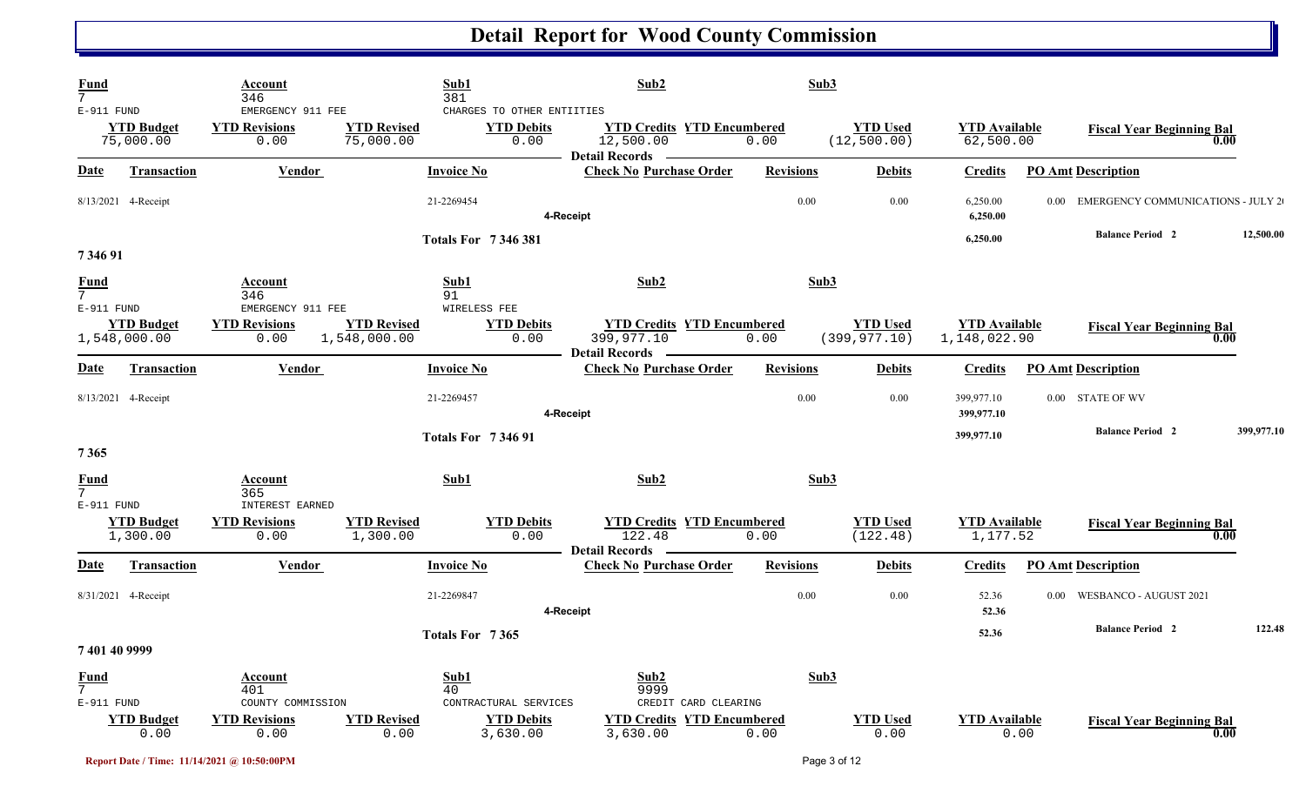| $\frac{Fund}{7}$                            |                                   | Account<br>346                                         |                                    | Sub1<br>381                                             | Sub2                                                               | Sub3             |                                  |                                      |      |                                        |            |
|---------------------------------------------|-----------------------------------|--------------------------------------------------------|------------------------------------|---------------------------------------------------------|--------------------------------------------------------------------|------------------|----------------------------------|--------------------------------------|------|----------------------------------------|------------|
| E-911 FUND                                  | <b>YTD Budget</b><br>75,000.00    | EMERGENCY 911 FEE<br><b>YTD Revisions</b><br>0.00      | <b>YTD Revised</b><br>75,000.00    | CHARGES TO OTHER ENTIITIES<br><b>YTD Debits</b><br>0.00 | <b>YTD Credits YTD Encumbered</b><br>12,500.00<br>Detail Records — | 0.00             | <b>YTD Used</b><br>(12, 500.00)  | <b>YTD Available</b><br>62,500.00    |      | <b>Fiscal Year Beginning Bal</b>       | 0.00       |
| <b>Date</b>                                 | <b>Transaction</b>                | <b>Vendor</b>                                          |                                    | <b>Invoice No</b>                                       | <b>Check No Purchase Order</b>                                     | <b>Revisions</b> | <b>Debits</b>                    | <b>Credits</b>                       |      | <b>PO Amt Description</b>              |            |
|                                             | 8/13/2021 4-Receipt               |                                                        |                                    | 21-2269454                                              | 4-Receipt                                                          | 0.00             | 0.00                             | 6,250.00<br>6,250.00                 |      | 0.00 EMERGENCY COMMUNICATIONS - JULY 2 |            |
| 7 346 91                                    |                                   |                                                        |                                    | <b>Totals For 7346381</b>                               |                                                                    |                  |                                  | 6,250.00                             |      | <b>Balance Period 2</b>                | 12,500.00  |
| $\frac{Fund}{7}$                            |                                   | Account<br>346                                         |                                    | Sub1<br>91                                              | Sub2                                                               | Sub3             |                                  |                                      |      |                                        |            |
| E-911 FUND                                  | <b>YTD Budget</b><br>1,548,000.00 | EMERGENCY 911 FEE<br><b>YTD Revisions</b><br>0.00      | <b>YTD Revised</b><br>1,548,000.00 | WIRELESS FEE<br><b>YTD Debits</b><br>0.00               | <b>YTD Credits YTD Encumbered</b><br>399,977.10                    | 0.00             | <b>YTD Used</b><br>(399, 977.10) | <b>YTD Available</b><br>1,148,022.90 |      | <b>Fiscal Year Beginning Bal</b>       | 0.00       |
| <u>Date</u>                                 | <b>Transaction</b>                | Vendor                                                 |                                    | <b>Invoice No</b>                                       | <b>Detail Records</b><br><b>Check No Purchase Order</b>            | <b>Revisions</b> | <b>Debits</b>                    | <b>Credits</b>                       |      | <b>PO Amt Description</b>              |            |
|                                             | 8/13/2021 4-Receipt               |                                                        |                                    | 21-2269457                                              | 4-Receipt                                                          | 0.00             | 0.00                             | 399,977.10<br>399,977.10             |      | 0.00 STATE OF WV                       |            |
| 7365                                        |                                   |                                                        |                                    | <b>Totals For 734691</b>                                |                                                                    |                  |                                  | 399,977.10                           |      | <b>Balance Period 2</b>                | 399,977.10 |
| <b>Fund</b><br>7 <sup>1</sup>               |                                   | Account<br>365                                         |                                    | Sub1                                                    | Sub2                                                               | Sub3             |                                  |                                      |      |                                        |            |
| E-911 FUND                                  | <b>YTD Budget</b><br>1,300.00     | <b>INTEREST EARNED</b><br><b>YTD Revisions</b><br>0.00 | <b>YTD Revised</b><br>1,300.00     | <b>YTD Debits</b><br>0.00                               | <b>YTD Credits YTD Encumbered</b><br>122.48                        | 0.00             | <b>YTD Used</b><br>(122.48)      | <b>YTD</b> Available<br>1,177.52     |      | <b>Fiscal Year Beginning Bal</b>       | 0.00       |
| <u>Date</u>                                 | <b>Transaction</b>                | <b>Vendor</b>                                          |                                    | <b>Invoice No</b>                                       | <b>Detail Records</b><br><b>Check No Purchase Order</b>            | <b>Revisions</b> | <b>Debits</b>                    | <b>Credits</b>                       |      | <b>PO Amt Description</b>              |            |
|                                             | 8/31/2021 4-Receipt               |                                                        |                                    | 21-2269847                                              | 4-Receipt                                                          | 0.00             | 0.00                             | 52.36<br>52.36                       | 0.00 | WESBANCO - AUGUST 2021                 |            |
| 7 401 40 9999                               |                                   |                                                        |                                    | Totals For 7365                                         |                                                                    |                  |                                  | 52.36                                |      | <b>Balance Period 2</b>                | 122.48     |
| <b>Fund</b><br>7 <sup>1</sup><br>E-911 FUND |                                   | Account<br>401<br>COUNTY COMMISSION                    |                                    | Sub1<br>40<br>CONTRACTURAL SERVICES                     | Sub2<br>9999<br>CREDIT CARD CLEARING                               | Sub3             |                                  |                                      |      |                                        |            |
|                                             | <b>YTD Budget</b><br>0.00         | <b>YTD Revisions</b><br>0.00                           | <b>YTD Revised</b><br>0.00         | <b>YTD Debits</b><br>3,630.00                           | <b>YTD Credits YTD Encumbered</b><br>3,630.00                      | 0.00             | <b>YTD Used</b><br>0.00          | <b>YTD Available</b>                 | 0.00 | <b>Fiscal Year Beginning Bal</b>       | 0.00       |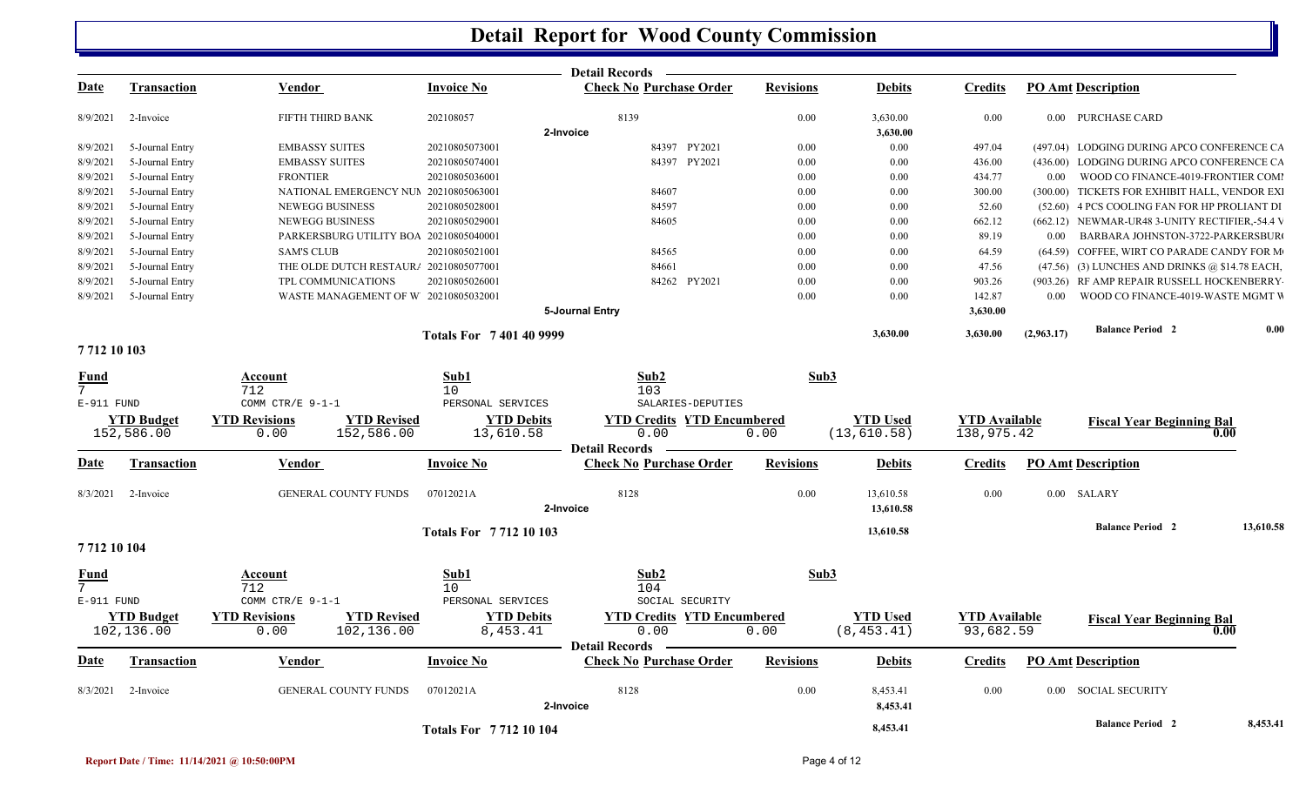|                |                    |                                            |                              | <b>Detail Records</b>             |                  |                        |                      |                                                  |           |
|----------------|--------------------|--------------------------------------------|------------------------------|-----------------------------------|------------------|------------------------|----------------------|--------------------------------------------------|-----------|
| <u>Date</u>    | Transaction        | Vendor                                     | <b>Invoice No</b>            | <b>Check No Purchase Order</b>    | <b>Revisions</b> | <b>Debits</b>          | <b>Credits</b>       | <b>PO Amt Description</b>                        |           |
| 8/9/2021       | 2-Invoice          | FIFTH THIRD BANK                           | 202108057                    | 8139<br>2-Invoice                 | 0.00             | 3,630.00               | 0.00                 | 0.00 PURCHASE CARD                               |           |
| 8/9/2021       | 5-Journal Entry    | <b>EMBASSY SUITES</b>                      | 20210805073001               | 84397 PY2021                      | 0.00             | 3,630.00<br>0.00       | 497.04               | (497.04) LODGING DURING APCO CONFERENCE CA       |           |
| 8/9/2021       | 5-Journal Entry    | <b>EMBASSY SUITES</b>                      | 20210805074001               | 84397 PY2021                      | 0.00             | 0.00                   | 436.00               | (436.00) LODGING DURING APCO CONFERENCE CA       |           |
| 8/9/2021       | 5-Journal Entry    | <b>FRONTIER</b>                            | 20210805036001               |                                   | 0.00             | 0.00                   | 434.77               | 0.00 WOOD CO FINANCE-4019-FRONTIER COMI          |           |
| 8/9/2021       | 5-Journal Entry    | NATIONAL EMERGENCY NUM 20210805063001      |                              | 84607                             | 0.00             | 0.00                   | 300.00               | (300.00) TICKETS FOR EXHIBIT HALL, VENDOR EXI    |           |
| 8/9/2021       | 5-Journal Entry    | <b>NEWEGG BUSINESS</b>                     | 20210805028001               | 84597                             | 0.00             | 0.00                   | 52.60                | (52.60) 4 PCS COOLING FAN FOR HP PROLIANT DI     |           |
| 8/9/2021       | 5-Journal Entry    | NEWEGG BUSINESS                            | 20210805029001               | 84605                             | 0.00             | 0.00                   | 662.12               | (662.12) NEWMAR-UR48 3-UNITY RECTIFIER,-54.4 V   |           |
| 8/9/2021       | 5-Journal Entry    | PARKERSBURG UTILITY BOA 20210805040001     |                              |                                   | $0.00\,$         | $0.00\,$               | 89.19                | 0.00 BARBARA JOHNSTON-3722-PARKERSBUR            |           |
| 8/9/2021       | 5-Journal Entry    | <b>SAM'S CLUB</b>                          | 20210805021001               | 84565                             | 0.00             | $0.00\,$               | 64.59                | (64.59) COFFEE, WIRT CO PARADE CANDY FOR M       |           |
| 8/9/2021       | 5-Journal Entry    | THE OLDE DUTCH RESTAUR/ 20210805077001     |                              | 84661                             | 0.00             | 0.00                   | 47.56                | $(47.56)$ (3) LUNCHES AND DRINKS @ \$14.78 EACH, |           |
| 8/9/2021       | 5-Journal Entry    | TPL COMMUNICATIONS                         | 20210805026001               | 84262 PY2021                      | 0.00             | 0.00                   | 903.26               | (903.26) RF AMP REPAIR RUSSELL HOCKENBERRY       |           |
| 8/9/2021       | 5-Journal Entry    | WASTE MANAGEMENT OF W 20210805032001       |                              |                                   | 0.00             | 0.00                   | 142.87               | 0.00 WOOD CO FINANCE-4019-WASTE MGMT W           |           |
|                |                    |                                            |                              | 5-Journal Entry                   |                  |                        | 3,630.00             |                                                  |           |
|                |                    |                                            | <b>Totals For 7401409999</b> |                                   |                  | 3,630.00               | 3,630.00             | <b>Balance Period 2</b><br>(2,963.17)            | 0.00      |
| 7712 10 103    |                    |                                            |                              |                                   |                  |                        |                      |                                                  |           |
| <b>Fund</b>    |                    | Account                                    | Sub1                         | Sub2                              | Sub3             |                        |                      |                                                  |           |
| 7 <sup>7</sup> |                    | 712                                        | 10 <sup>°</sup>              | 103                               |                  |                        |                      |                                                  |           |
| $E-911$ FUND   |                    | COMM CTR/E 9-1-1                           | PERSONAL SERVICES            | SALARIES-DEPUTIES                 |                  |                        |                      |                                                  |           |
|                | <b>YTD Budget</b>  | <b>YTD Revised</b><br><b>YTD Revisions</b> | <b>YTD Debits</b>            | <b>YTD Credits YTD Encumbered</b> |                  | <b>YTD Used</b>        | <b>YTD</b> Available | <b>Fiscal Year Beginning Bal</b>                 |           |
|                | 152,586.00         | 152,586.00<br>0.00                         | 13,610.58                    | 0.00                              | 0.00             | (13, 610.58)           | 138,975.42           |                                                  | 0.00      |
|                |                    |                                            |                              | <b>Detail Records</b> —           |                  |                        |                      |                                                  |           |
| <b>Date</b>    | Transaction        | Vendor                                     | Invoice No                   | <b>Check No Purchase Order</b>    | <b>Revisions</b> | <b>Debits</b>          | <b>Credits</b>       | PO Amt Description                               |           |
|                | 8/3/2021 2-Invoice | <b>GENERAL COUNTY FUNDS</b>                | 07012021A                    | 8128<br>2-Invoice                 | 0.00             | 13,610.58<br>13,610.58 | 0.00                 | 0.00 SALARY                                      |           |
|                |                    |                                            |                              |                                   |                  |                        |                      | <b>Balance Period 2</b>                          | 13,610.58 |
|                |                    |                                            | <b>Totals For 771210103</b>  |                                   |                  | 13,610.58              |                      |                                                  |           |
| 7712 10 104    |                    |                                            |                              |                                   |                  |                        |                      |                                                  |           |
| <b>Fund</b>    |                    | Account                                    | Sub1                         | Sub2                              | Sub3             |                        |                      |                                                  |           |
| 7 <sup>7</sup> |                    | 712                                        | 10                           | 104                               |                  |                        |                      |                                                  |           |
| E-911 FUND     |                    | COMM CTR/E 9-1-1                           | PERSONAL SERVICES            | SOCIAL SECURITY                   |                  |                        |                      |                                                  |           |
|                | <b>YTD Budget</b>  | <b>YTD Revised</b><br><b>YTD Revisions</b> | <b>YTD Debits</b>            | <b>YTD Credits YTD Encumbered</b> |                  | <b>YTD Used</b>        | <b>YTD</b> Available | <b>Fiscal Year Beginning Bal</b>                 |           |
|                | 102,136.00         | 102,136.00<br>0.00                         | 8,453.41                     | 0.00                              | 0.00             | (8, 453.41)            | 93,682.59            |                                                  | 0.00      |
|                |                    |                                            |                              | Detail Records –                  |                  |                        |                      |                                                  |           |
| <b>Date</b>    | Transaction        | Vendor                                     | Invoice No                   | <b>Check No Purchase Order</b>    | <b>Revisions</b> | <b>Debits</b>          | <b>Credits</b>       | PO Amt Description                               |           |
| 8/3/2021       | 2-Invoice          | <b>GENERAL COUNTY FUNDS</b>                | 07012021A                    | 8128<br>2-Invoice                 | 0.00             | 8,453.41<br>8,453.41   | $0.00\,$             | 0.00 SOCIAL SECURITY                             |           |
|                |                    |                                            | <b>Totals For 771210104</b>  |                                   |                  | 8,453.41               |                      | <b>Balance Period 2</b>                          | 8,453.41  |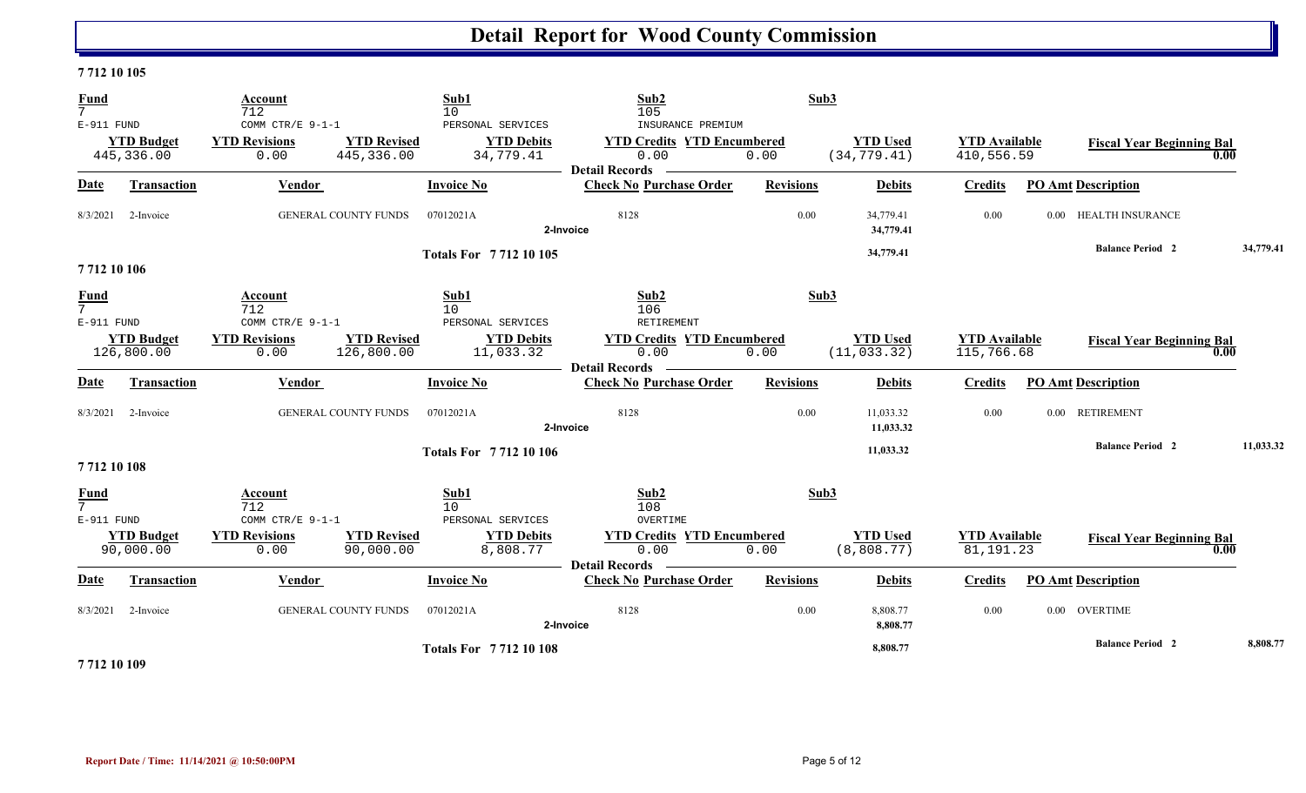#### **7 712 10 105**

| $\frac{Fund}{7}$               |                                 | Account<br>712                                   |                                  | Sub1<br>10                                          | Sub2<br>105                                                                             | Sub3             |                                 |                                     |          |                                  |           |
|--------------------------------|---------------------------------|--------------------------------------------------|----------------------------------|-----------------------------------------------------|-----------------------------------------------------------------------------------------|------------------|---------------------------------|-------------------------------------|----------|----------------------------------|-----------|
| E-911 FUND                     | <b>YTD Budget</b><br>445,336.00 | COMM CTR/E 9-1-1<br><b>YTD Revisions</b><br>0.00 | <b>YTD Revised</b><br>445,336.00 | PERSONAL SERVICES<br><b>YTD Debits</b><br>34,779.41 | INSURANCE PREMIUM<br><b>YTD Credits YTD Encumbered</b><br>0.00<br><b>Detail Records</b> | 0.00             | <b>YTD Used</b><br>(34, 779.41) | <b>YTD Available</b><br>410,556.59  |          | <b>Fiscal Year Beginning Bal</b> | 0.00      |
| <u>Date</u>                    | Transaction                     | Vendor                                           |                                  | <b>Invoice No</b>                                   | <b>Check No Purchase Order</b>                                                          | <b>Revisions</b> | <b>Debits</b>                   | <b>Credits</b>                      |          | <b>PO Amt Description</b>        |           |
| 8/3/2021                       | 2-Invoice                       |                                                  | <b>GENERAL COUNTY FUNDS</b>      | 07012021A                                           | 8128<br>2-Invoice                                                                       | 0.00             | 34,779.41<br>34,779.41          | 0.00                                | $0.00 -$ | <b>HEALTH INSURANCE</b>          |           |
| 7712 10 106                    |                                 |                                                  |                                  | <b>Totals For 771210105</b>                         |                                                                                         |                  | 34,779.41                       |                                     |          | <b>Balance Period 2</b>          | 34,779.41 |
| $\frac{Fund}{7}$<br>E-911 FUND |                                 | Account<br>712<br>COMM CTR/E 9-1-1               |                                  | Sub1<br>10<br>PERSONAL SERVICES                     | Sub2<br>106<br>RETIREMENT                                                               | Sub3             |                                 |                                     |          |                                  |           |
|                                | <b>YTD Budget</b><br>126,800.00 | <b>YTD Revisions</b><br>0.00                     | <b>YTD Revised</b><br>126,800.00 | <b>YTD Debits</b><br>11,033.32                      | <b>YTD Credits YTD Encumbered</b><br>0.00<br><b>Detail Records</b>                      | 0.00             | <b>YTD Used</b><br>(11, 033.32) | <b>YTD Available</b><br>115,766.68  |          | <b>Fiscal Year Beginning Bal</b> | 0.00      |
| <b>Date</b>                    | <b>Transaction</b>              | <b>Vendor</b>                                    |                                  | <b>Invoice No</b>                                   | <b>Check No Purchase Order</b>                                                          | <b>Revisions</b> | <b>Debits</b>                   | <b>Credits</b>                      |          | <b>PO Amt Description</b>        |           |
| 8/3/2021                       | 2-Invoice                       |                                                  | <b>GENERAL COUNTY FUNDS</b>      | 07012021A                                           | 8128<br>2-Invoice                                                                       | 0.00             | 11,033.32<br>11,033.32          | 0.00                                |          | 0.00 RETIREMENT                  |           |
| 7712 10 108                    |                                 |                                                  |                                  | <b>Totals For 771210106</b>                         |                                                                                         |                  | 11,033.32                       |                                     |          | <b>Balance Period 2</b>          | 11,033.32 |
| <b>Fund</b><br>7<br>E-911 FUND |                                 | Account<br>712<br>COMM CTR/E $9-1-1$             |                                  | Sub1<br>10<br>PERSONAL SERVICES                     | Sub2<br>108<br>OVERTIME                                                                 | Sub3             |                                 |                                     |          |                                  |           |
|                                | <b>YTD Budget</b><br>90,000.00  | <b>YTD Revisions</b><br>0.00                     | <b>YTD Revised</b><br>90,000.00  | <b>YTD Debits</b><br>8,808.77                       | <b>YTD Credits YTD Encumbered</b><br>0.00<br><b>Detail Records</b>                      | 0.00             | <b>YTD</b> Used<br>(8,808.77)   | <b>YTD</b> Available<br>81, 191. 23 |          | <b>Fiscal Year Beginning Bal</b> | 0.00      |
| <b>Date</b>                    | <b>Transaction</b>              | <b>Vendor</b>                                    |                                  | <b>Invoice No</b>                                   | <b>Check No Purchase Order</b>                                                          | <b>Revisions</b> | <b>Debits</b>                   | <b>Credits</b>                      |          | <b>PO Amt Description</b>        |           |
| 8/3/2021                       | 2-Invoice                       |                                                  | <b>GENERAL COUNTY FUNDS</b>      | 07012021A                                           | 8128<br>2-Invoice                                                                       | 0.00             | 8,808.77<br>8,808.77            | 0.00                                |          | 0.00 OVERTIME                    |           |
|                                |                                 |                                                  |                                  | <b>Totals For 771210108</b>                         |                                                                                         |                  | 8,808.77                        |                                     |          | <b>Balance Period 2</b>          | 8,808.77  |

**7 712 10 109**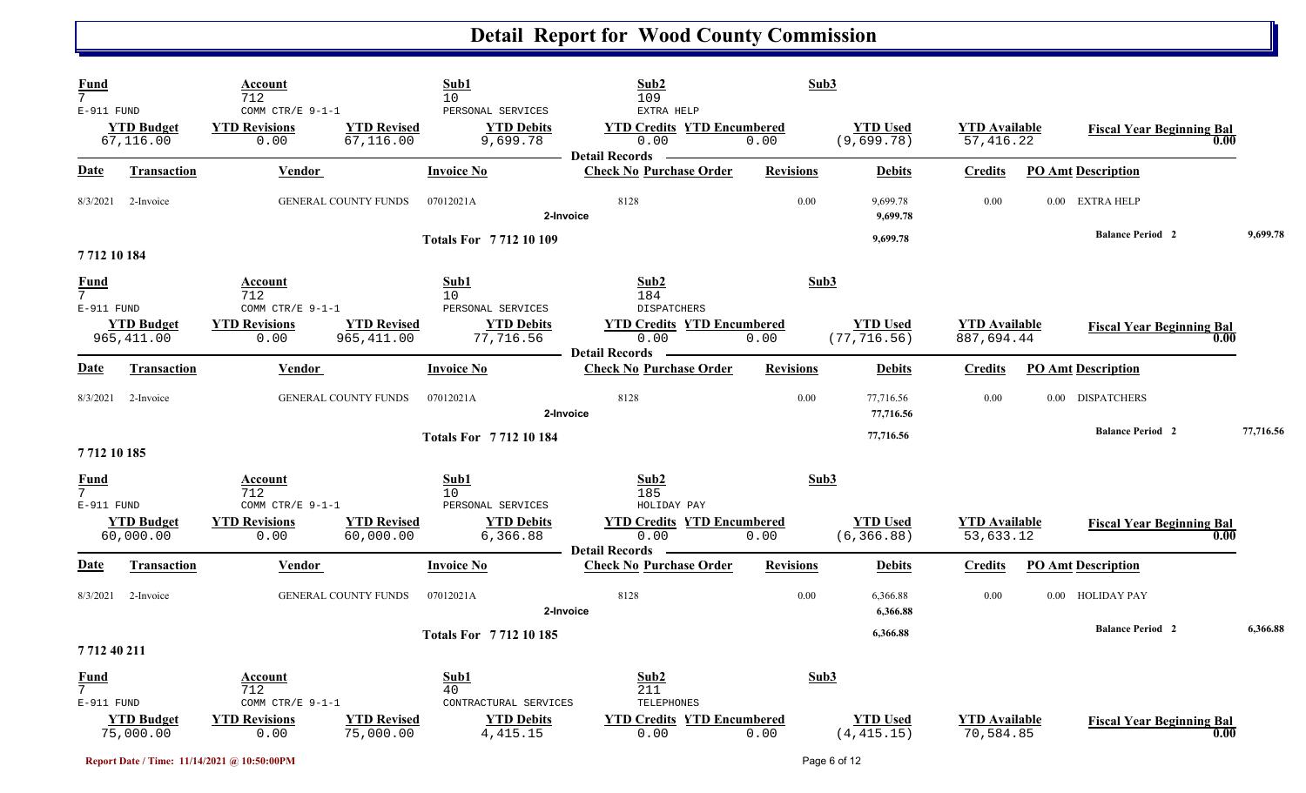| <b>Fund</b><br>7                         |                                  | Account<br>712                                   |                                   | Sub1<br>10                                         | Sub2<br>109                                                        | Sub3             |                                 |                                    |                                          |           |
|------------------------------------------|----------------------------------|--------------------------------------------------|-----------------------------------|----------------------------------------------------|--------------------------------------------------------------------|------------------|---------------------------------|------------------------------------|------------------------------------------|-----------|
| E-911 FUND                               | <b>YTD Budget</b><br>67,116.00   | COMM CTR/E 9-1-1<br><b>YTD Revisions</b><br>0.00 | <b>YTD Revised</b><br>67,116.00   | PERSONAL SERVICES<br><b>YTD Debits</b><br>9,699.78 | EXTRA HELP<br><b>YTD Credits YTD Encumbered</b><br>0.00            | 0.00             | <b>YTD Used</b><br>(9,699.78)   | <b>YTD</b> Available<br>57,416.22  | <b>Fiscal Year Beginning Bal</b><br>0.00 |           |
| Date                                     | <b>Transaction</b>               | <b>Vendor</b>                                    |                                   | <b>Invoice No</b>                                  | <b>Detail Records</b><br><b>Check No Purchase Order</b>            | <b>Revisions</b> | <b>Debits</b>                   | <b>Credits</b>                     | <b>PO Amt Description</b>                |           |
| 8/3/2021                                 | 2-Invoice                        | <b>GENERAL COUNTY FUNDS</b>                      |                                   | 07012021A                                          | 8128<br>2-Invoice                                                  | 0.00             | 9,699.78<br>9,699.78            | 0.00                               | 0.00 EXTRA HELP                          |           |
| 7712 10 184                              |                                  |                                                  |                                   | <b>Totals For 771210109</b>                        |                                                                    |                  | 9,699.78                        |                                    | <b>Balance Period 2</b>                  | 9,699.78  |
| <u>Fund</u><br>$7^{\circ}$<br>E-911 FUND |                                  | Account<br>712<br>COMM CTR/E $9-1-1$             |                                   | Sub1<br>10<br>PERSONAL SERVICES                    | Sub2<br>184<br><b>DISPATCHERS</b>                                  | Sub3             |                                 |                                    |                                          |           |
|                                          | <b>YTD Budget</b><br>965, 411.00 | <b>YTD Revisions</b><br>0.00                     | <b>YTD Revised</b><br>965, 411.00 | <b>YTD Debits</b><br>77,716.56                     | <b>YTD Credits YTD Encumbered</b><br>0.00<br><b>Detail Records</b> | 0.00             | <b>YTD Used</b><br>(77, 716.56) | <b>YTD Available</b><br>887,694.44 | <b>Fiscal Year Beginning Bal</b><br>0.00 |           |
| Date                                     | <b>Transaction</b>               | Vendor                                           |                                   | <b>Invoice No</b>                                  | <b>Check No Purchase Order</b>                                     | <b>Revisions</b> | <b>Debits</b>                   | <b>Credits</b>                     | <b>PO Amt Description</b>                |           |
| 8/3/2021                                 | 2-Invoice                        | <b>GENERAL COUNTY FUNDS</b>                      |                                   | 07012021A                                          | 8128<br>2-Invoice                                                  | 0.00             | 77,716.56<br>77,716.56          | 0.00                               | 0.00 DISPATCHERS                         |           |
| 7712 10 185                              |                                  |                                                  |                                   | <b>Totals For 771210184</b>                        |                                                                    |                  | 77,716.56                       |                                    | <b>Balance Period 2</b>                  | 77,716.56 |
| <u>Fund</u><br>E-911 FUND                |                                  | Account<br>712<br>COMM CTR/E 9-1-1               |                                   | Sub1<br>10 <sup>°</sup><br>PERSONAL SERVICES       | Sub2<br>185<br>HOLIDAY PAY                                         | Sub3             |                                 |                                    |                                          |           |
|                                          | <b>YTD Budget</b><br>60,000.00   | <b>YTD Revisions</b><br>0.00                     | <b>YTD Revised</b><br>60,000.00   | <b>YTD Debits</b><br>6,366.88                      | <b>YTD Credits YTD Encumbered</b><br>0.00<br><b>Detail Records</b> | 0.00             | <b>YTD Used</b><br>(6, 366.88)  | <b>YTD Available</b><br>53,633.12  | <b>Fiscal Year Beginning Bal</b><br>0.00 |           |
| <u>Date</u>                              | <b>Transaction</b>               | <b>Vendor</b>                                    |                                   | <b>Invoice No</b>                                  | <b>Check No Purchase Order</b>                                     | <b>Revisions</b> | <b>Debits</b>                   | <b>Credits</b>                     | <b>PO Amt Description</b>                |           |
| 8/3/2021                                 | 2-Invoice                        | GENERAL COUNTY FUNDS                             |                                   | 07012021A                                          | 8128<br>2-Invoice                                                  | 0.00             | 6,366.88<br>6,366.88            | 0.00                               | 0.00 HOLIDAY PAY                         |           |
| 771240211                                |                                  |                                                  |                                   | <b>Totals For 771210185</b>                        |                                                                    |                  | 6,366.88                        |                                    | <b>Balance Period 2</b>                  | 6,366.88  |
| <b>Fund</b><br>7<br>E-911 FUND           |                                  | Account<br>712<br>COMM CTR/E 9-1-1               |                                   | Sub1<br>40<br>CONTRACTURAL SERVICES                | Sub2<br>211<br>TELEPHONES                                          | Sub3             |                                 |                                    |                                          |           |
|                                          | <b>YTD Budget</b><br>75,000.00   | <b>YTD Revisions</b><br>0.00                     | <b>YTD Revised</b><br>75,000.00   | <b>YTD Debits</b><br>4, 415.15                     | <b>YTD Credits YTD Encumbered</b><br>0.00                          | 0.00             | <b>YTD Used</b><br>(4, 415.15)  | <b>YTD Available</b><br>70,584.85  | <b>Fiscal Year Beginning Bal</b><br>0.00 |           |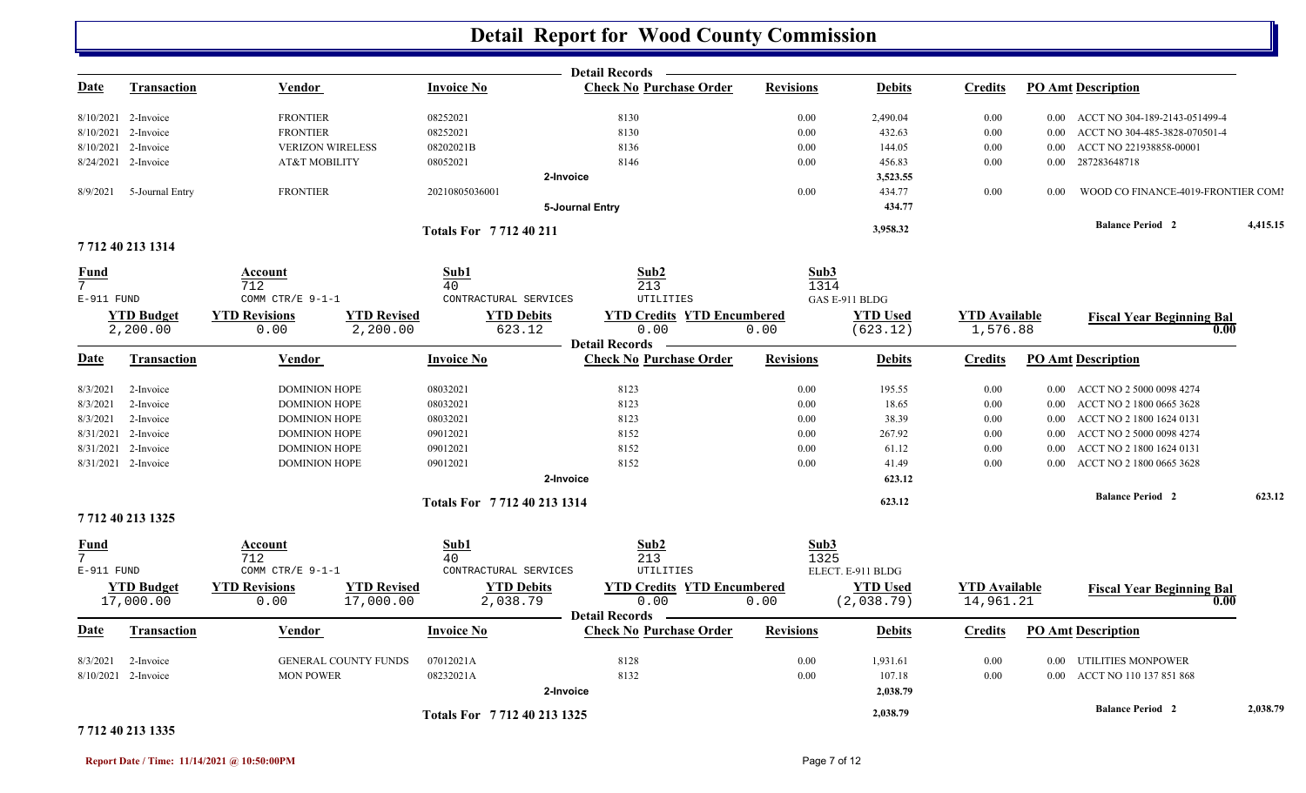|                            |                     |                                            |                             | <b>Detail Records -</b>           |                  |                   |                      |          |                                    |          |
|----------------------------|---------------------|--------------------------------------------|-----------------------------|-----------------------------------|------------------|-------------------|----------------------|----------|------------------------------------|----------|
| <u>Date</u>                | <b>Transaction</b>  | <b>Vendor</b>                              | <b>Invoice No</b>           | <b>Check No Purchase Order</b>    | <b>Revisions</b> | <b>Debits</b>     | <b>Credits</b>       |          | <b>PO Amt Description</b>          |          |
|                            | 8/10/2021 2-Invoice | <b>FRONTIER</b>                            | 08252021                    | 8130                              | 0.00             | 2,490.04          | 0.00                 |          | 0.00 ACCT NO 304-189-2143-051499-4 |          |
| 8/10/2021                  | 2-Invoice           | <b>FRONTIER</b>                            | 08252021                    | 8130                              | 0.00             | 432.63            | 0.00                 | 0.00     | ACCT NO 304-485-3828-070501-4      |          |
|                            | 8/10/2021 2-Invoice | <b>VERIZON WIRELESS</b>                    | 08202021B                   | 8136                              | 0.00             | 144.05            | 0.00                 | $0.00\,$ | ACCT NO 221938858-00001            |          |
|                            | 8/24/2021 2-Invoice | AT&T MOBILITY                              | 08052021                    | 8146                              | 0.00             | 456.83            | 0.00                 |          | 0.00 287283648718                  |          |
|                            |                     |                                            | 2-Invoice                   |                                   |                  | 3,523.55          |                      |          |                                    |          |
| 8/9/2021                   | 5-Journal Entry     | <b>FRONTIER</b>                            | 20210805036001              |                                   | 0.00             | 434.77            | 0.00                 | 0.00     | WOOD CO FINANCE-4019-FRONTIER COMI |          |
|                            |                     |                                            |                             | 5-Journal Entry                   |                  | 434.77            |                      |          |                                    |          |
|                            |                     |                                            | Totals For 771240211        |                                   |                  | 3,958.32          |                      |          | <b>Balance Period 2</b>            | 4,415.15 |
|                            | 7712 40 213 1314    |                                            |                             |                                   |                  |                   |                      |          |                                    |          |
| <u>Fund</u><br>$7^{\circ}$ |                     | Account<br>712                             | Sub1<br>40                  | Sub2<br>213                       | Sub3<br>1314     |                   |                      |          |                                    |          |
| E-911 FUND                 |                     | COMM CTR/E 9-1-1                           | CONTRACTURAL SERVICES       | UTILITIES                         |                  | GAS E-911 BLDG    |                      |          |                                    |          |
|                            | <b>YTD Budget</b>   | <b>YTD Revised</b><br><b>YTD Revisions</b> | <b>YTD Debits</b>           | <b>YTD Credits YTD Encumbered</b> |                  | <b>YTD Used</b>   | <b>YTD</b> Available |          | <b>Fiscal Year Beginning Bal</b>   |          |
|                            | 2,200.00            | 2,200.00<br>0.00                           | 623.12                      | 0.00                              | 0.00             | (623.12)          | 1,576.88             |          | 0.00                               |          |
|                            |                     |                                            |                             | <b>- Detail Records</b>           |                  |                   |                      |          |                                    |          |
| Date                       | <b>Transaction</b>  | Vendor                                     | <b>Invoice No</b>           | <b>Check No Purchase Order</b>    | <b>Revisions</b> | <b>Debits</b>     | Credits              |          | <b>PO Amt Description</b>          |          |
| 8/3/2021                   | 2-Invoice           | <b>DOMINION HOPE</b>                       | 08032021                    | 8123                              | 0.00             | 195.55            | 0.00                 |          | 0.00 ACCT NO 2 5000 0098 4274      |          |
| 8/3/2021                   | 2-Invoice           | <b>DOMINION HOPE</b>                       | 08032021                    | 8123                              | 0.00             | 18.65             | 0.00                 |          | 0.00 ACCT NO 2 1800 0665 3628      |          |
| 8/3/2021                   | 2-Invoice           | <b>DOMINION HOPE</b>                       | 08032021                    | 8123                              | 0.00             | 38.39             | 0.00                 | $0.00\,$ | ACCT NO 2 1800 1624 0131           |          |
| 8/31/2021                  | 2-Invoice           | <b>DOMINION HOPE</b>                       | 09012021                    | 8152                              | 0.00             | 267.92            | 0.00                 | 0.00     | ACCT NO 2 5000 0098 4274           |          |
| 8/31/2021                  | 2-Invoice           | <b>DOMINION HOPE</b>                       | 09012021                    | 8152                              | 0.00             | 61.12             | 0.00                 | $0.00\,$ | ACCT NO 2 1800 1624 0131           |          |
|                            | 8/31/2021 2-Invoice | <b>DOMINION HOPE</b>                       | 09012021                    | 8152                              | 0.00             | 41.49             | 0.00                 |          | 0.00 ACCT NO 2 1800 0665 3628      |          |
|                            |                     |                                            | 2-Invoice                   |                                   |                  | 623.12            |                      |          |                                    |          |
|                            |                     |                                            | Totals For 7712 40 213 1314 |                                   |                  | 623.12            |                      |          | <b>Balance Period 2</b>            | 623.12   |
|                            | 7712 40 213 1325    |                                            |                             |                                   |                  |                   |                      |          |                                    |          |
| <u>Fund</u>                |                     | <u>Account</u>                             | Sub1                        | Sub2                              | Sub3             |                   |                      |          |                                    |          |
| 7                          |                     | 712                                        | 40                          | 213                               | 1325             |                   |                      |          |                                    |          |
| $E-911$ FUND               |                     | COMM CTR/E 9-1-1                           | CONTRACTURAL SERVICES       | <b>UTILITIES</b>                  |                  | ELECT. E-911 BLDG |                      |          |                                    |          |
|                            | <b>YTD Budget</b>   | <b>YTD Revised</b><br><b>YTD Revisions</b> | <b>YTD Debits</b>           | <b>YTD Credits YTD Encumbered</b> |                  | <b>YTD Used</b>   | <b>YTD</b> Available |          | <b>Fiscal Year Beginning Bal</b>   |          |
|                            | 17,000.00           | 17,000.00<br>0.00                          | 2,038.79                    | 0.00<br><b>Detail Records</b>     | 0.00             | (2,038.79)        | 14,961.21            |          | 0.00                               |          |
| Date                       | Transaction         | Vendor                                     | <b>Invoice No</b>           | <b>Check No Purchase Order</b>    | <b>Revisions</b> | <b>Debits</b>     | <b>Credits</b>       |          | <b>PO Amt Description</b>          |          |
| 8/3/2021                   | 2-Invoice           | <b>GENERAL COUNTY FUNDS</b>                | 07012021A                   | 8128                              | 0.00             | 1,931.61          | 0.00                 |          | 0.00 UTILITIES MONPOWER            |          |
|                            | 8/10/2021 2-Invoice | <b>MON POWER</b>                           | 08232021A                   | 8132                              | 0.00             | 107.18            | 0.00                 |          | 0.00 ACCT NO 110 137 851 868       |          |
|                            |                     |                                            | 2-Invoice                   |                                   |                  | 2,038.79          |                      |          |                                    |          |
|                            |                     |                                            | Totals For 7712 40 213 1325 |                                   |                  | 2,038.79          |                      |          | <b>Balance Period 2</b>            | 2,038.79 |

#### **7 712 40 213 1335**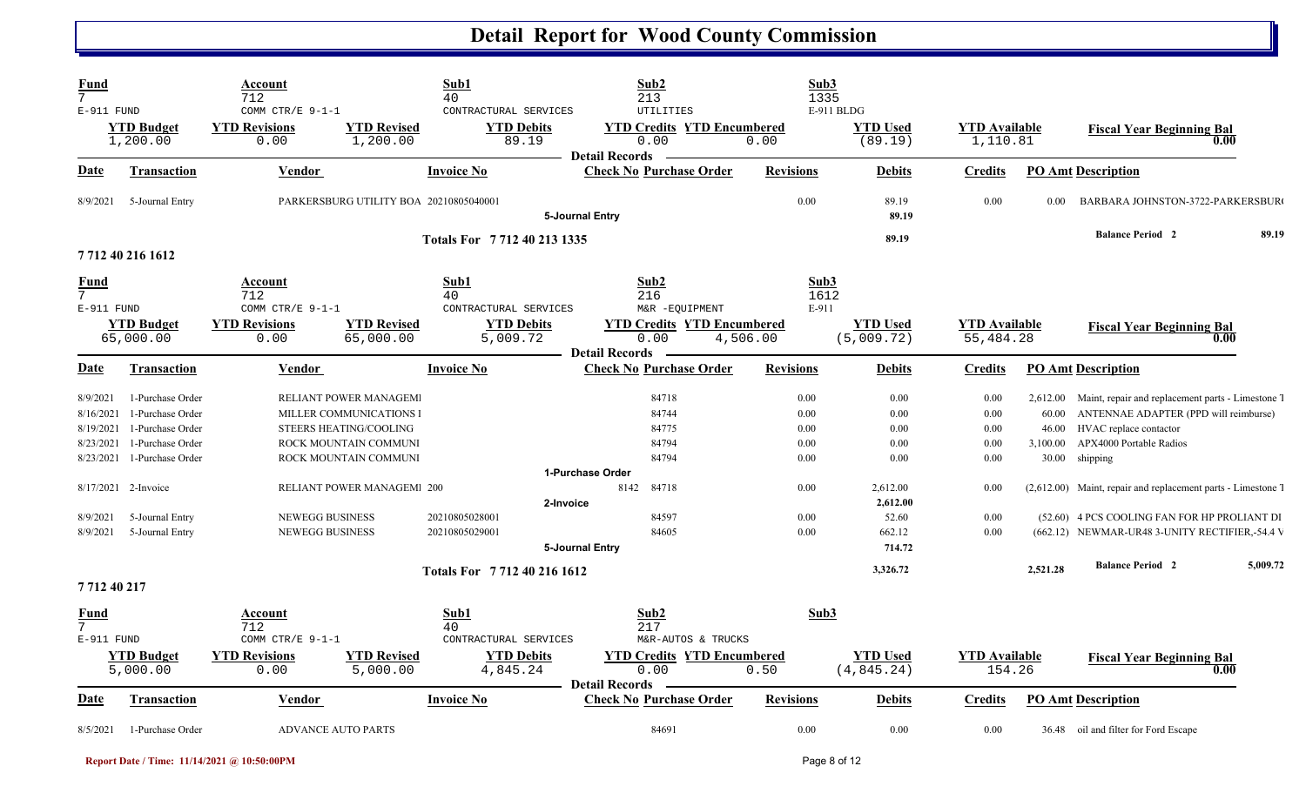| Fund<br>$7\overline{ }$<br>$E-911$ FUND         |                                                                              | Account<br>712<br>COMM CTR/E 9-1-1               |                                                                                                     | Sub1<br>40<br>CONTRACTURAL SERVICES           | Sub2<br>213<br><b>UTILITIES</b>                                    | Sub3<br>1335                 | E-911 BLDG                            |                                   |                                        |                                                                                                                                                 |          |
|-------------------------------------------------|------------------------------------------------------------------------------|--------------------------------------------------|-----------------------------------------------------------------------------------------------------|-----------------------------------------------|--------------------------------------------------------------------|------------------------------|---------------------------------------|-----------------------------------|----------------------------------------|-------------------------------------------------------------------------------------------------------------------------------------------------|----------|
|                                                 | <b>YTD Budget</b><br>1,200.00                                                | <b>YTD Revisions</b><br>0.00                     | <b>YTD Revised</b><br>1,200.00                                                                      | <b>YTD Debits</b><br>89.19                    | <b>YTD Credits YTD Encumbered</b><br>0.00<br><b>Detail Records</b> | 0.00                         | <b>YTD Used</b><br>(89.19)            | <b>YTD Available</b><br>1,110.81  |                                        | <b>Fiscal Year Beginning Bal</b><br>0.00                                                                                                        |          |
| <b>Date</b>                                     | <b>Transaction</b>                                                           | <b>Vendor</b>                                    |                                                                                                     | <b>Invoice No</b>                             | <b>Check No Purchase Order</b>                                     | <b>Revisions</b>             | <b>Debits</b>                         | <b>Credits</b>                    |                                        | <b>PO Amt Description</b>                                                                                                                       |          |
| 8/9/2021                                        | 5-Journal Entry                                                              |                                                  | PARKERSBURG UTILITY BOA 20210805040001                                                              |                                               | 5-Journal Entry                                                    | 0.00                         | 89.19<br>89.19                        | 0.00                              | 0.00                                   | BARBARA JOHNSTON-3722-PARKERSBUR                                                                                                                |          |
|                                                 | 7712 40 216 1612                                                             |                                                  |                                                                                                     | Totals For 7712 40 213 1335                   |                                                                    |                              | 89.19                                 |                                   |                                        | <b>Balance Period 2</b>                                                                                                                         | 89.19    |
| Fund<br>$7\overline{ }$<br>E-911 FUND           |                                                                              | Account<br>712<br>COMM CTR/E 9-1-1               |                                                                                                     | Sub1<br>40<br>CONTRACTURAL SERVICES           | Sub <sub>2</sub><br>216<br>M&R -EQUIPMENT                          | Sub3<br>1612<br>E-911        |                                       |                                   |                                        |                                                                                                                                                 |          |
|                                                 | <b>YTD Budget</b><br>65,000.00                                               | <b>YTD Revisions</b><br>0.00                     | <b>YTD Revised</b><br>65,000.00                                                                     | <b>YTD Debits</b><br>5,009.72                 | <b>YTD Credits YTD Encumbered</b><br>0.00<br><b>Detail Records</b> | 4,506.00                     | <b>YTD Used</b><br>(5,009.72)         | <b>YTD</b> Available<br>55,484.28 |                                        | <b>Fiscal Year Beginning Bal</b><br>0.00                                                                                                        |          |
| Date                                            | Transaction                                                                  | <b>Vendor</b>                                    |                                                                                                     | <b>Invoice No</b>                             | <b>Check No Purchase Order</b>                                     | <b>Revisions</b>             | <b>Debits</b>                         | <b>Credits</b>                    |                                        | <b>PO Amt Description</b>                                                                                                                       |          |
| 8/9/2021<br>8/16/2021<br>8/19/2021<br>8/23/2021 | 1-Purchase Order<br>1-Purchase Order<br>1-Purchase Order<br>1-Purchase Order |                                                  | RELIANT POWER MANAGEM<br>MILLER COMMUNICATIONS I<br>STEERS HEATING/COOLING<br>ROCK MOUNTAIN COMMUNI |                                               | 84718<br>84744<br>84775<br>84794                                   | 0.00<br>0.00<br>0.00<br>0.00 | 0.00<br>0.00<br>0.00<br>0.00          | 0.00<br>0.00<br>0.00<br>0.00      | 2,612.00<br>60.00<br>46.00<br>3,100.00 | Maint, repair and replacement parts - Limestone 7<br>ANTENNAE ADAPTER (PPD will reimburse)<br>HVAC replace contactor<br>APX4000 Portable Radios |          |
| 8/23/2021                                       | 1-Purchase Order<br>8/17/2021 2-Invoice                                      |                                                  | ROCK MOUNTAIN COMMUNI<br><b>RELIANT POWER MANAGEM 200</b>                                           |                                               | 84794<br>1-Purchase Order<br>84718<br>8142                         | 0.00<br>0.00                 | 0.00<br>2,612.00                      | 0.00<br>0.00                      | 30.00                                  | shipping<br>(2,612.00) Maint, repair and replacement parts - Limestone 7                                                                        |          |
| 8/9/2021<br>8/9/2021                            | 5-Journal Entry<br>5-Journal Entry                                           | <b>NEWEGG BUSINESS</b><br><b>NEWEGG BUSINESS</b> |                                                                                                     | 2-Invoice<br>20210805028001<br>20210805029001 | 84597<br>84605<br>5-Journal Entry                                  | 0.00<br>0.00                 | 2,612.00<br>52.60<br>662.12<br>714.72 | 0.00<br>0.00                      |                                        | (52.60) 4 PCS COOLING FAN FOR HP PROLIANT DI<br>(662.12) NEWMAR-UR48 3-UNITY RECTIFIER,-54.4 V                                                  |          |
| 771240217                                       |                                                                              |                                                  |                                                                                                     | Totals For 7712402161612                      |                                                                    |                              | 3,326.72                              |                                   | 2,521.28                               | <b>Balance Period 2</b>                                                                                                                         | 5,009.72 |
| Fund<br>7 <sup>1</sup><br>E-911 FUND            |                                                                              | Account<br>712<br>COMM CTR/E 9-1-1               |                                                                                                     | Sub1<br>40<br>CONTRACTURAL SERVICES           | Sub2<br>217<br>M&R-AUTOS & TRUCKS                                  | Sub3                         |                                       |                                   |                                        |                                                                                                                                                 |          |
|                                                 | <b>YTD Budget</b><br>5,000.00                                                | <b>YTD Revisions</b><br>0.00                     | <b>YTD Revised</b><br>5,000.00                                                                      | <b>YTD Debits</b><br>4,845.24                 | <b>YTD Credits YTD Encumbered</b><br>0.00<br><b>Detail Records</b> | 0.50                         | <b>YTD</b> Used<br>(4, 845.24)        | <b>YTD</b> Available<br>154.26    |                                        | <b>Fiscal Year Beginning Bal</b><br>0.00                                                                                                        |          |
| <u>Date</u>                                     | <b>Transaction</b>                                                           | Vendor                                           |                                                                                                     | <b>Invoice No</b>                             | <b>Check No Purchase Order</b>                                     | <b>Revisions</b>             | <b>Debits</b>                         | <b>Credits</b>                    |                                        | <b>PO Amt Description</b>                                                                                                                       |          |
| 8/5/2021                                        | 1-Purchase Order                                                             | <b>ADVANCE AUTO PARTS</b>                        |                                                                                                     |                                               | 84691                                                              | 0.00                         | 0.00                                  | 0.00                              |                                        | 36.48 oil and filter for Ford Escape                                                                                                            |          |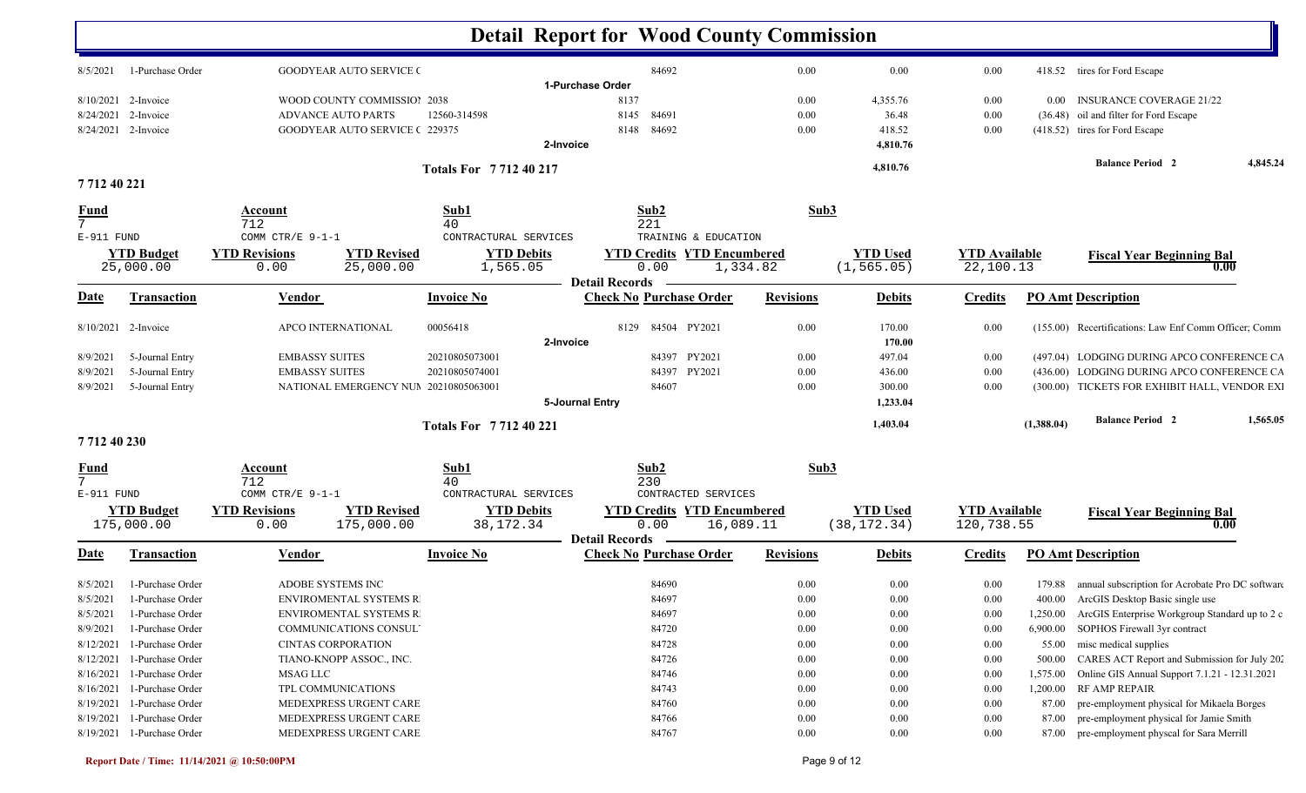|                  |                                 |                              |                                       |                                  | <b>Detail Report for Wood County Commission</b> |                                                |          |                                 |                                    |            |                                                         |          |
|------------------|---------------------------------|------------------------------|---------------------------------------|----------------------------------|-------------------------------------------------|------------------------------------------------|----------|---------------------------------|------------------------------------|------------|---------------------------------------------------------|----------|
| 8/5/2021         | 1-Purchase Order                |                              | <b>GOODYEAR AUTO SERVICE (</b>        |                                  | 84692                                           |                                                | 0.00     | 0.00                            | 0.00                               |            | 418.52 tires for Ford Escape                            |          |
|                  |                                 |                              |                                       |                                  | 1-Purchase Order                                |                                                |          |                                 |                                    |            |                                                         |          |
|                  | 8/10/2021 2-Invoice             |                              | WOOD COUNTY COMMISSIOI 2038           |                                  | 8137                                            |                                                | 0.00     | 4,355.76                        | 0.00                               | $0.00\,$   | <b>INSURANCE COVERAGE 21/22</b>                         |          |
| 8/24/2021        | 2-Invoice                       | <b>ADVANCE AUTO PARTS</b>    |                                       | 12560-314598                     | 8145<br>84691                                   |                                                | 0.00     | 36.48                           | 0.00                               |            | (36.48) oil and filter for Ford Escape                  |          |
|                  | 8/24/2021 2-Invoice             |                              | <b>GOODYEAR AUTO SERVICE (229375)</b> |                                  | 84692<br>8148                                   |                                                | 0.00     | 418.52                          | 0.00                               |            | (418.52) tires for Ford Escape                          |          |
|                  |                                 |                              |                                       |                                  | 2-Invoice                                       |                                                |          | 4,810.76                        |                                    |            |                                                         |          |
|                  |                                 |                              |                                       | <b>Totals For 771240217</b>      |                                                 |                                                |          | 4,810.76                        |                                    |            | <b>Balance Period 2</b>                                 | 4,845.24 |
| 771240221        |                                 |                              |                                       |                                  |                                                 |                                                |          |                                 |                                    |            |                                                         |          |
| $\frac{Fund}{7}$ |                                 | Account                      |                                       | Sub1                             | Sub2                                            |                                                | Sub3     |                                 |                                    |            |                                                         |          |
|                  |                                 | 712                          |                                       | 40                               | 221                                             |                                                |          |                                 |                                    |            |                                                         |          |
| E-911 FUND       |                                 | COMM CTR/E 9-1-1             |                                       | CONTRACTURAL SERVICES            |                                                 | TRAINING & EDUCATION                           |          |                                 |                                    |            |                                                         |          |
|                  | <b>YTD Budget</b>               | <b>YTD Revisions</b>         | <b>YTD Revised</b>                    | <b>YTD Debits</b>                |                                                 | <b>YTD Credits YTD Encumbered</b>              |          | <b>YTD</b> Used                 | <b>YTD</b> Available               |            | <b>Fiscal Year Beginning Bal</b>                        |          |
|                  | 25,000.00                       | 0.00                         | 25,000.00                             | 1,565.05                         | 0.00<br><b>Detail Records</b>                   | 1,334.82                                       |          | (1, 565.05)                     | 22,100.13                          |            |                                                         | 0.00     |
| <u>Date</u>      | <b>Transaction</b>              | Vendor                       |                                       | <b>Invoice No</b>                | <b>Check No Purchase Order</b>                  | <b>Revisions</b>                               |          | <b>Debits</b>                   | <b>Credits</b>                     |            | <b>PO Amt Description</b>                               |          |
|                  |                                 |                              |                                       |                                  |                                                 |                                                |          |                                 |                                    |            |                                                         |          |
|                  | 8/10/2021 2-Invoice             | APCO INTERNATIONAL           |                                       | 00056418                         | 84504 PY2021<br>8129                            |                                                | 0.00     | 170.00                          | 0.00                               |            | (155.00) Recertifications: Law Enf Comm Officer; Comm   |          |
|                  |                                 |                              |                                       |                                  | 2-Invoice<br>84397 PY2021                       |                                                |          | 170.00                          |                                    |            |                                                         |          |
| 8/9/2021         | 5-Journal Entry                 | <b>EMBASSY SUITES</b>        |                                       | 20210805073001                   |                                                 |                                                | 0.00     | 497.04                          | 0.00                               |            | (497.04) LODGING DURING APCO CONFERENCE CA              |          |
| 8/9/2021         | 5-Journal Entry                 | <b>EMBASSY SUITES</b>        |                                       | 20210805074001                   | 84397 PY2021                                    |                                                | 0.00     | 436.00                          | 0.00                               |            | (436.00) LODGING DURING APCO CONFERENCE CA              |          |
| 8/9/2021         | 5-Journal Entry                 |                              | NATIONAL EMERGENCY NUM 20210805063001 |                                  | 84607<br>5-Journal Entry                        |                                                | 0.00     | 300.00<br>1,233.04              | 0.00                               |            | (300.00) TICKETS FOR EXHIBIT HALL, VENDOR EXI           |          |
|                  |                                 |                              |                                       |                                  |                                                 |                                                |          | 1,403.04                        |                                    | (1,388.04) | <b>Balance Period 2</b>                                 | 1,565.05 |
| 771240230        |                                 |                              |                                       | <b>Totals For 771240221</b>      |                                                 |                                                |          |                                 |                                    |            |                                                         |          |
| <u>Fund</u>      |                                 | <b>Account</b>               |                                       | Sub1                             | Sub2                                            |                                                | Sub3     |                                 |                                    |            |                                                         |          |
| 7                |                                 | 712                          |                                       | 40                               | 230                                             |                                                |          |                                 |                                    |            |                                                         |          |
| E-911 FUND       |                                 | COMM CTR/E 9-1-1             |                                       | CONTRACTURAL SERVICES            |                                                 | CONTRACTED SERVICES                            |          |                                 |                                    |            |                                                         |          |
|                  | <b>YTD Budget</b><br>175,000.00 | <b>YTD Revisions</b><br>0.00 | <b>YTD Revised</b><br>175,000.00      | <b>YTD Debits</b><br>38, 172. 34 | 0.00                                            | <b>YTD Credits YTD Encumbered</b><br>16,089.11 |          | <b>YTD Used</b><br>(38, 172.34) | <b>YTD</b> Available<br>120,738.55 |            | <b>Fiscal Year Beginning Bal</b>                        | 0.00     |
|                  |                                 |                              |                                       |                                  | <b>Detail Records</b>                           |                                                |          |                                 |                                    |            |                                                         |          |
| <b>Date</b>      | Transaction                     | Vendor                       |                                       | <b>Invoice No</b>                | <b>Check No Purchase Order</b>                  | <b>Revisions</b>                               |          | <b>Debits</b>                   | <b>Credits</b>                     |            | <b>PO Amt Description</b>                               |          |
| 8/5/2021         | 1-Purchase Order                | ADOBE SYSTEMS INC            |                                       |                                  | 84690                                           |                                                | 0.00     | 0.00                            | 0.00                               |            | 179.88 annual subscription for Acrobate Pro DC software |          |
|                  | 8/5/2021 1-Purchase Order       |                              | <b>ENVIROMENTAL SYSTEMS R</b>         |                                  | 84697                                           |                                                | $0.00\,$ | 0.00                            | $0.00\,$                           |            | 400.00 ArcGIS Desktop Basic single use                  |          |
| 8/5/2021         | 1-Purchase Order                |                              | ENVIROMENTAL SYSTEMS R                |                                  | 84697                                           |                                                | 0.00     | 0.00                            | 0.00                               |            | 1,250.00 ArcGIS Enterprise Workgroup Standard up to 2 c |          |
| 8/9/2021         | 1-Purchase Order                |                              | COMMUNICATIONS CONSUL'                |                                  | 84720                                           |                                                | 0.00     | 0.00                            | 0.00                               | 6,900.00   | SOPHOS Firewall 3yr contract                            |          |
| 8/12/2021        | 1-Purchase Order                | <b>CINTAS CORPORATION</b>    |                                       |                                  | 84728                                           |                                                | 0.00     | 0.00                            | 0.00                               | 55.00      | misc medical supplies                                   |          |
| 8/12/2021        | 1-Purchase Order                |                              | TIANO-KNOPP ASSOC., INC.              |                                  | 84726                                           |                                                | 0.00     | 0.00                            | 0.00                               | 500.00     | CARES ACT Report and Submission for July 202            |          |
| 8/16/2021        | 1-Purchase Order                | MSAG LLC                     |                                       |                                  | 84746                                           |                                                | 0.00     | 0.00                            | 0.00                               | 1,575.00   | Online GIS Annual Support 7.1.21 - 12.31.2021           |          |
| 8/16/2021        | 1-Purchase Order                | TPL COMMUNICATIONS           |                                       |                                  | 84743                                           |                                                | 0.00     | 0.00                            | 0.00                               | 1,200.00   | RF AMP REPAIR                                           |          |
|                  | 8/19/2021 1-Purchase Order      |                              | MEDEXPRESS URGENT CARE                |                                  | 84760                                           |                                                | 0.00     | 0.00                            | 0.00                               |            | 87.00 pre-employment physical for Mikaela Borges        |          |
|                  | 8/19/2021 1-Purchase Order      |                              | MEDEXPRESS URGENT CARE                |                                  | 84766                                           |                                                | 0.00     | 0.00                            | 0.00                               | 87.00      | pre-employment physical for Jamie Smith                 |          |
|                  | 8/19/2021 1-Purchase Order      |                              | MEDEXPRESS URGENT CARE                |                                  | 84767                                           |                                                | 0.00     | 0.00                            | 0.00                               |            | 87.00 pre-employment physcal for Sara Merrill           |          |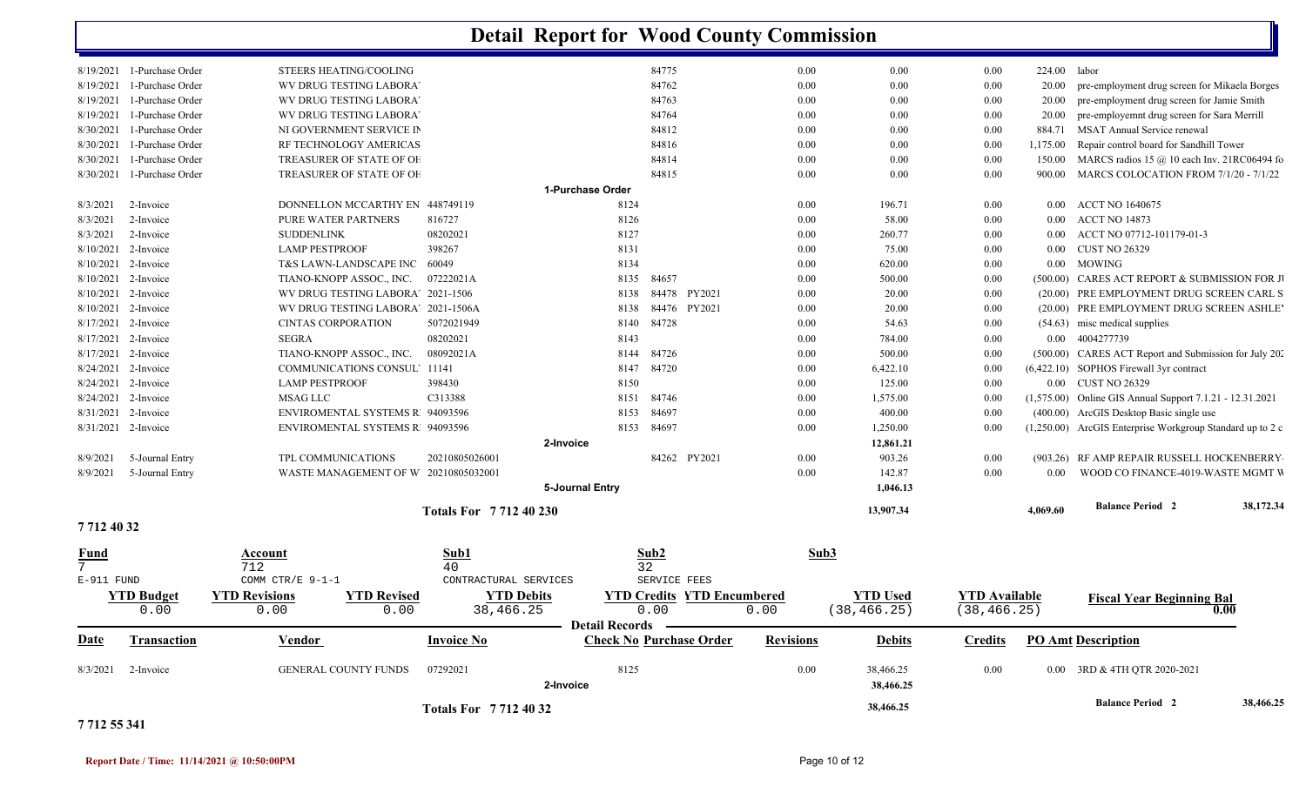|             |                            |                                            |                            | <b>Detail Report for Wood County Commission</b> |                                   |                  |                        |                      |              |                                                           |                   |
|-------------|----------------------------|--------------------------------------------|----------------------------|-------------------------------------------------|-----------------------------------|------------------|------------------------|----------------------|--------------|-----------------------------------------------------------|-------------------|
|             | 8/19/2021 1-Purchase Order | <b>STEERS HEATING/COOLING</b>              |                            |                                                 | 84775                             | 0.00             | $0.00\,$               | $0.00\,$             | 224.00 labor |                                                           |                   |
| 8/19/2021   | 1-Purchase Order           | WV DRUG TESTING LABORA'                    |                            |                                                 | 84762                             | 0.00             | 0.00                   | $0.00\,$             | 20.00        | pre-employment drug screen for Mikaela Borges             |                   |
| 8/19/2021   | 1-Purchase Order           | WV DRUG TESTING LABORA'                    |                            |                                                 | 84763                             | 0.00             | 0.00                   | 0.00                 | 20.00        | pre-employment drug screen for Jamie Smith                |                   |
| 8/19/2021   | 1-Purchase Order           | WV DRUG TESTING LABORA'                    |                            |                                                 | 84764                             | 0.00             | 0.00                   | $0.00\,$             | 20.00        | pre-employemnt drug screen for Sara Merrill               |                   |
| 8/30/2021   | 1-Purchase Order           | NI GOVERNMENT SERVICE IN                   |                            |                                                 | 84812                             | 0.00             | 0.00                   | 0.00                 | 884.71       | MSAT Annual Service renewal                               |                   |
| 8/30/2021   | 1-Purchase Order           | RF TECHNOLOGY AMERICAS                     |                            |                                                 | 84816                             | 0.00             | 0.00                   | 0.00                 | 1,175.00     | Repair control board for Sandhill Tower                   |                   |
| 8/30/2021   | 1-Purchase Order           | TREASURER OF STATE OF OF                   |                            |                                                 | 84814                             | 0.00             | 0.00                   | 0.00                 | 150.00       | MARCS radios 15 $\omega$ 10 each Inv. 21RC06494 fo        |                   |
| 8/30/2021   | 1-Purchase Order           | TREASURER OF STATE OF OF                   |                            |                                                 | 84815                             | 0.00             | 0.00                   | 0.00                 | 900.00       | MARCS COLOCATION FROM 7/1/20 - 7/1/22                     |                   |
|             |                            |                                            |                            | 1-Purchase Order                                |                                   |                  |                        |                      |              |                                                           |                   |
| 8/3/2021    | 2-Invoice                  | DONNELLON MCCARTHY EN 448749119            |                            | 8124                                            |                                   | 0.00             | 196.71                 | $0.00\,$             | $0.00\,$     | <b>ACCT NO 1640675</b>                                    |                   |
| 8/3/2021    | 2-Invoice                  | PURE WATER PARTNERS                        | 816727                     | 8126                                            |                                   | 0.00             | 58.00                  | $0.00\,$             | $0.00\,$     | <b>ACCT NO 14873</b>                                      |                   |
| 8/3/2021    | 2-Invoice                  | <b>SUDDENLINK</b>                          | 08202021                   | 8127                                            |                                   | 0.00             | 260.77                 | 0.00                 | 0.00         | ACCT NO 07712-101179-01-3                                 |                   |
|             | 8/10/2021 2-Invoice        | <b>LAMP PESTPROOF</b>                      | 398267                     | 8131                                            |                                   | 0.00             | 75.00                  | $0.00\,$             | $0.00\,$     | <b>CUST NO 26329</b>                                      |                   |
|             | 8/10/2021 2-Invoice        | T&S LAWN-LANDSCAPE INC                     | 60049                      | 8134                                            |                                   | 0.00             | 620.00                 | $0.00\,$             | $0.00\,$     | MOWING                                                    |                   |
|             | 8/10/2021 2-Invoice        | TIANO-KNOPP ASSOC., INC.                   | 07222021A                  | 8135                                            | 84657                             | 0.00             | 500.00                 | 0.00                 |              | (500.00) CARES ACT REPORT & SUBMISSION FOR J              |                   |
|             | 8/10/2021 2-Invoice        | WV DRUG TESTING LABORA' 2021-1506          |                            | 8138                                            | 84478 PY2021                      | 0.00             | 20.00                  | $0.00\,$             |              | (20.00) PRE EMPLOYMENT DRUG SCREEN CARL S                 |                   |
|             | 8/10/2021 2-Invoice        | WV DRUG TESTING LABORA' 2021-1506A         |                            | 8138                                            | 84476 PY2021                      | 0.00             | 20.00                  | $0.00\,$             |              | (20.00) PRE EMPLOYMENT DRUG SCREEN ASHLE                  |                   |
| 8/17/2021   | 2-Invoice                  | <b>CINTAS CORPORATION</b>                  | 5072021949                 | 8140                                            | 84728                             | 0.00             | 54.63                  | 0.00                 |              | (54.63) misc medical supplies                             |                   |
| 8/17/2021   | 2-Invoice                  | <b>SEGRA</b>                               | 08202021                   | 8143                                            |                                   | 0.00             | 784.00                 | 0.00                 | $0.00\,$     | 4004277739                                                |                   |
| 8/17/2021   | 2-Invoice                  | TIANO-KNOPP ASSOC., INC.                   | 08092021A                  | 8144                                            | 84726                             | 0.00             | 500.00                 | 0.00                 |              | (500.00) CARES ACT Report and Submission for July 202     |                   |
| 8/24/2021   | 2-Invoice                  | <b>COMMUNICATIONS CONSUL' 11141</b>        |                            | 8147                                            | 84720                             | 0.00             | 6,422.10               | 0.00                 |              | (6,422.10) SOPHOS Firewall 3yr contract                   |                   |
|             | 8/24/2021 2-Invoice        | <b>LAMP PESTPROOF</b>                      | 398430                     | 8150                                            |                                   | 0.00             | 125.00                 | $0.00\,$             | $0.00\,$     | <b>CUST NO 26329</b>                                      |                   |
|             | 8/24/2021 2-Invoice        | MSAG LLC                                   | C313388                    | 8151                                            | 84746                             | 0.00             | 1,575.00               | 0.00                 |              | (1,575.00) Online GIS Annual Support 7.1.21 - 12.31.2021  |                   |
| 8/31/2021   | 2-Invoice                  | <b>ENVIROMENTAL SYSTEMS R 94093596</b>     |                            | 8153                                            | 84697                             | 0.00             | 400.00                 | 0.00                 |              | (400.00) ArcGIS Desktop Basic single use                  |                   |
|             | 8/31/2021 2-Invoice        | ENVIROMENTAL SYSTEMS R 94093596            |                            |                                                 | 8153 84697                        | 0.00             | 1,250.00               | 0.00                 |              | (1,250.00) ArcGIS Enterprise Workgroup Standard up to 2 c |                   |
|             |                            |                                            |                            | 2-Invoice                                       |                                   |                  | 12,861.21              |                      |              |                                                           |                   |
| 8/9/2021    | 5-Journal Entry            | TPL COMMUNICATIONS                         | 20210805026001             |                                                 | 84262 PY2021                      | 0.00             | 903.26                 | 0.00                 |              | (903.26) RF AMP REPAIR RUSSELL HOCKENBERRY                |                   |
| 8/9/2021    | 5-Journal Entry            | WASTE MANAGEMENT OF W 20210805032001       |                            |                                                 |                                   | 0.00             | 142.87                 | 0.00                 | 0.00         | WOOD CO FINANCE-4019-WASTE MGMT W                         |                   |
|             |                            |                                            |                            | 5-Journal Entry                                 |                                   |                  | 1,046.13               |                      |              |                                                           |                   |
|             |                            |                                            |                            |                                                 |                                   |                  |                        |                      |              |                                                           |                   |
| 77124032    |                            |                                            | Totals For 771240230       |                                                 |                                   |                  | 13,907.34              |                      | 4,069.60     | <b>Balance Period 2</b>                                   | 38,172.34         |
| <u>Fund</u> |                            | Account                                    | Sub1                       |                                                 | Sub2                              |                  | Sub3                   |                      |              |                                                           |                   |
| 7           |                            | 712                                        | 40                         |                                                 | 32                                |                  |                        |                      |              |                                                           |                   |
| E-911 FUND  |                            | COMM CTR/E 9-1-1                           | CONTRACTURAL SERVICES      |                                                 | SERVICE FEES                      |                  |                        |                      |              |                                                           |                   |
|             | <b>YTD Budget</b>          | <b>YTD Revisions</b><br><b>YTD Revised</b> | <b>YTD Debits</b>          |                                                 | <b>YTD Credits YTD Encumbered</b> |                  | <b>YTD</b> Used        | <b>YTD</b> Available |              | <b>Fiscal Year Beginning Bal</b>                          |                   |
|             | 0.00                       | 0.00<br>0.00                               | 38,466.25                  |                                                 | 0.00                              | 0.00             | (38, 466.25)           | (38, 466.25)         |              |                                                           | $\overline{0.00}$ |
|             |                            |                                            |                            | Detail Records —                                |                                   |                  |                        |                      |              |                                                           |                   |
| <b>Date</b> | Transaction                | Vendor                                     | <b>Invoice No</b>          |                                                 | <b>Check No Purchase Order</b>    | <b>Revisions</b> | <b>Debits</b>          | <b>Credits</b>       |              | <b>PO Amt Description</b>                                 |                   |
|             | 8/3/2021 2-Invoice         | <b>GENERAL COUNTY FUNDS</b>                | 07292021                   | 8125<br>2-Invoice                               |                                   | 0.00             | 38,466.25<br>38,466.25 | $0.00\,$             |              | 0.00 3RD & 4TH OTR 2020-2021                              |                   |
|             |                            |                                            | <b>Totals For 77124032</b> |                                                 |                                   |                  | 38,466.25              |                      |              | <b>Balance Period 2</b>                                   | 38,466.25         |

#### **7 712 55 341**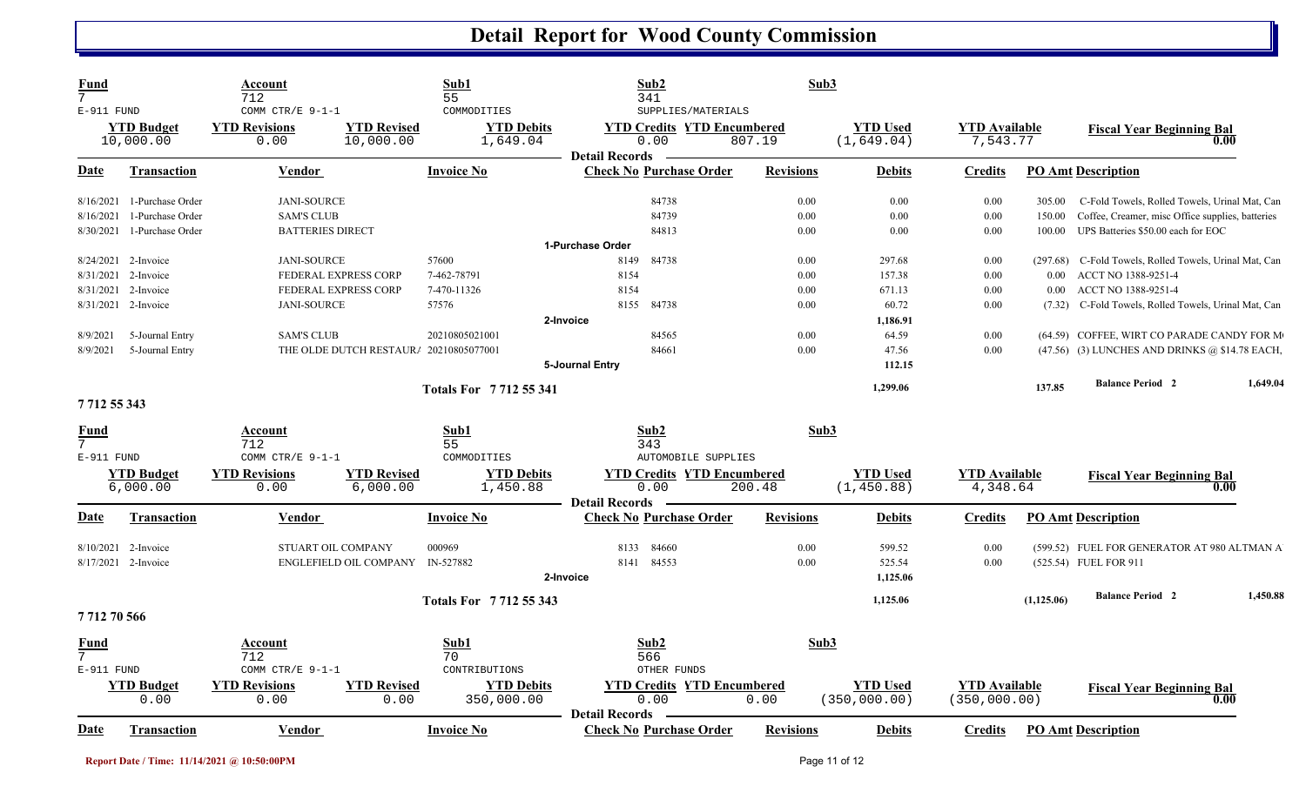| Fund<br>$7\overline{ }$<br>E-911 FUND |                                | Account<br>712<br>COMM CTR/E 9-1-1 |                                        | Sub1<br>55<br>COMMODITIES     | Sub2<br>341<br>SUPPLIES/MATERIALS                                  |                  | Sub3                          |                                  |             |                                                        |          |
|---------------------------------------|--------------------------------|------------------------------------|----------------------------------------|-------------------------------|--------------------------------------------------------------------|------------------|-------------------------------|----------------------------------|-------------|--------------------------------------------------------|----------|
|                                       | <b>YTD</b> Budget<br>10,000.00 | <b>YTD Revisions</b><br>0.00       | <b>YTD Revised</b><br>10,000.00        | <b>YTD Debits</b><br>1,649.04 | <b>YTD Credits YTD Encumbered</b><br>0.00<br><b>Detail Records</b> | 807.19           | <b>YTD Used</b><br>(1,649.04) | <b>YTD Available</b><br>7,543.77 |             | <b>Fiscal Year Beginning Bal</b><br>0.00               |          |
| Date                                  | <b>Transaction</b>             | <b>Vendor</b>                      |                                        | <b>Invoice No</b>             | <b>Check No Purchase Order</b>                                     | <b>Revisions</b> | <b>Debits</b>                 | <b>Credits</b>                   |             | <b>PO Amt Description</b>                              |          |
|                                       | 8/16/2021 1-Purchase Order     | <b>JANI-SOURCE</b>                 |                                        |                               | 84738                                                              | 0.00             | 0.00                          | 0.00                             | 305.00      | C-Fold Towels, Rolled Towels, Urinal Mat, Can          |          |
| 8/16/2021                             | 1-Purchase Order               | <b>SAM'S CLUB</b>                  |                                        |                               | 84739                                                              | 0.00             | 0.00                          | 0.00                             | 150.00      | Coffee, Creamer, misc Office supplies, batteries       |          |
| 8/30/2021                             | 1-Purchase Order               | <b>BATTERIES DIRECT</b>            |                                        |                               | 84813                                                              | 0.00             | 0.00                          | 0.00                             | 100.00      | UPS Batteries \$50.00 each for EOC                     |          |
|                                       |                                |                                    |                                        |                               | 1-Purchase Order                                                   |                  |                               |                                  |             |                                                        |          |
|                                       | $8/24/2021$ 2-Invoice          | <b>JANI-SOURCE</b>                 |                                        | 57600                         | 84738<br>8149                                                      | 0.00             | 297.68                        | 0.00                             |             | (297.68) C-Fold Towels, Rolled Towels, Urinal Mat, Can |          |
| 8/31/2021                             | 2-Invoice                      | FEDERAL EXPRESS CORP               |                                        | 7-462-78791                   | 8154                                                               | 0.00             | 157.38                        | 0.00                             | $0.00\,$    | ACCT NO 1388-9251-4                                    |          |
|                                       | 8/31/2021 2-Invoice            | FEDERAL EXPRESS CORP               |                                        | 7-470-11326                   | 8154                                                               | 0.00             | 671.13                        | 0.00                             | 0.00        | ACCT NO 1388-9251-4                                    |          |
|                                       | 8/31/2021 2-Invoice            | <b>JANI-SOURCE</b>                 |                                        | 57576                         | 84738<br>8155                                                      | 0.00             | 60.72                         | 0.00                             | (7.32)      | C-Fold Towels, Rolled Towels, Urinal Mat, Can          |          |
|                                       |                                |                                    |                                        |                               | 2-Invoice                                                          |                  | 1,186.91                      |                                  |             |                                                        |          |
| 8/9/2021                              | 5-Journal Entry                | <b>SAM'S CLUB</b>                  |                                        | 20210805021001                | 84565                                                              | 0.00             | 64.59                         | 0.00                             |             | (64.59) COFFEE, WIRT CO PARADE CANDY FOR M             |          |
| 8/9/2021                              | 5-Journal Entry                |                                    | THE OLDE DUTCH RESTAUR/ 20210805077001 |                               | 84661                                                              | 0.00             | 47.56                         | 0.00                             |             | (47.56) (3) LUNCHES AND DRINKS @ \$14.78 EACH,         |          |
|                                       |                                |                                    |                                        |                               | 5-Journal Entry                                                    |                  | 112.15                        |                                  |             |                                                        |          |
|                                       |                                |                                    |                                        |                               |                                                                    |                  |                               |                                  |             | <b>Balance Period 2</b>                                | 1,649.04 |
|                                       |                                |                                    |                                        | <b>Totals For 771255341</b>   |                                                                    |                  | 1,299.06                      |                                  | 137.85      |                                                        |          |
| 771255343                             |                                |                                    |                                        |                               |                                                                    |                  |                               |                                  |             |                                                        |          |
|                                       |                                |                                    |                                        |                               |                                                                    |                  |                               |                                  |             |                                                        |          |
| <u>Fund</u><br>$7\overline{ }$        |                                | Account<br>712                     |                                        | Sub1<br>55                    | Sub2<br>343                                                        |                  | Sub3                          |                                  |             |                                                        |          |
| $E-911$ FUND                          |                                | COMM CTR/E 9-1-1                   |                                        | COMMODITIES                   | <b>AUTOMOBILE SUPPLIES</b>                                         |                  |                               |                                  |             |                                                        |          |
|                                       | <b>YTD Budget</b>              | <b>YTD Revisions</b>               | <b>YTD Revised</b>                     | <b>YTD Debits</b>             | <b>YTD Credits YTD Encumbered</b>                                  |                  | <b>YTD Used</b>               | <b>YTD Available</b>             |             |                                                        |          |
|                                       | 6,000.00                       | 0.00                               | 6,000.00                               | 1,450.88                      | 0.00                                                               | 200.48           | (1, 450.88)                   | 4,348.64                         |             | <b>Fiscal Year Beginning Bal</b><br>0.00               |          |
|                                       |                                |                                    |                                        |                               | <b>Detail Records -</b>                                            |                  |                               |                                  |             |                                                        |          |
| Date                                  | <b>Transaction</b>             | <b>Vendor</b>                      |                                        | <b>Invoice No</b>             | <b>Check No Purchase Order</b>                                     | <b>Revisions</b> | <b>Debits</b>                 | <b>Credits</b>                   |             | <b>PO Amt Description</b>                              |          |
|                                       | 8/10/2021 2-Invoice            | STUART OIL COMPANY                 |                                        | 000969                        | 84660<br>8133                                                      | 0.00             | 599.52                        | 0.00                             |             | (599.52) FUEL FOR GENERATOR AT 980 ALTMAN A            |          |
|                                       | $8/17/2021$ 2-Invoice          |                                    | <b>ENGLEFIELD OIL COMPANY</b>          | IN-527882                     | 84553<br>8141                                                      | 0.00             | 525.54                        | 0.00                             |             | (525.54) FUEL FOR 911                                  |          |
|                                       |                                |                                    |                                        |                               |                                                                    |                  |                               |                                  |             |                                                        |          |
|                                       |                                |                                    |                                        |                               | 2-Invoice                                                          |                  | 1,125.06                      |                                  |             |                                                        |          |
|                                       |                                |                                    |                                        | Totals For 7712 55 343        |                                                                    |                  | 1,125.06                      |                                  | (1, 125.06) | <b>Balance Period 2</b>                                | 1,450.88 |
| 771270566                             |                                |                                    |                                        |                               |                                                                    |                  |                               |                                  |             |                                                        |          |
| Fund                                  |                                | Account                            |                                        | Sub1                          | Sub2                                                               |                  | Sub3                          |                                  |             |                                                        |          |
| 7                                     |                                | 712                                |                                        | 70                            | 566                                                                |                  |                               |                                  |             |                                                        |          |
| $E-911$ FUND                          |                                | COMM CTR/E $9-1-1$                 |                                        | CONTRIBUTIONS                 | OTHER FUNDS                                                        |                  |                               |                                  |             |                                                        |          |
|                                       | <b>YTD</b> Budget              | <b>YTD Revisions</b>               | <b>YTD Revised</b>                     | <b>YTD Debits</b>             | <b>YTD Credits YTD Encumbered</b>                                  |                  | <b>YTD Used</b>               | <b>YTD Available</b>             |             | <b>Fiscal Year Beginning Bal</b>                       |          |
|                                       | 0.00                           | 0.00                               | 0.00                                   | 350,000.00                    | 0.00                                                               | 0.00             | (350, 000.00)                 | (350,000.00)                     |             | 0.00                                                   |          |
|                                       |                                |                                    |                                        |                               | <b>Detail Records</b>                                              |                  |                               |                                  |             |                                                        |          |
| Date                                  | <b>Transaction</b>             | Vendor                             |                                        | <b>Invoice No</b>             | <b>Check No Purchase Order</b>                                     | <b>Revisions</b> | <b>Debits</b>                 | <b>Credits</b>                   |             | <b>PO Amt Description</b>                              |          |